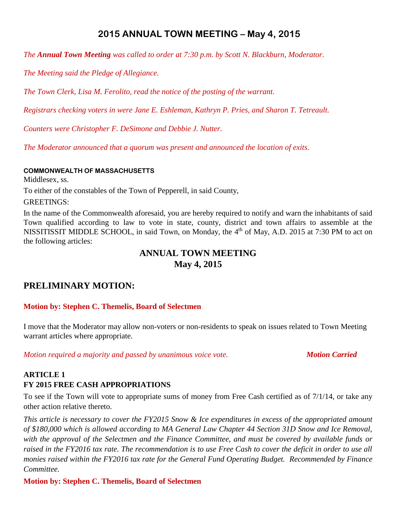## **2015 ANNUAL TOWN MEETING – May 4, 2015**

*The Annual Town Meeting was called to order at 7:30 p.m. by Scott N. Blackburn, Moderator.*

*The Meeting said the Pledge of Allegiance.*

*The Town Clerk, Lisa M. Ferolito, read the notice of the posting of the warrant.*

*Registrars checking voters in were Jane E. Eshleman, Kathryn P. Pries, and Sharon T. Tetreault.*

*Counters were Christopher F. DeSimone and Debbie J. Nutter.*

*The Moderator announced that a quorum was present and announced the location of exits.*

#### **COMMONWEALTH OF MASSACHUSETTS**

Middlesex, ss.

To either of the constables of the Town of Pepperell, in said County,

GREETINGS:

In the name of the Commonwealth aforesaid, you are hereby required to notify and warn the inhabitants of said Town qualified according to law to vote in state, county, district and town affairs to assemble at the NISSITISSIT MIDDLE SCHOOL, in said Town, on Monday, the 4<sup>th</sup> of May, A.D. 2015 at 7:30 PM to act on the following articles:

### **ANNUAL TOWN MEETING May 4, 2015**

## **PRELIMINARY MOTION:**

#### **Motion by: Stephen C. Themelis, Board of Selectmen**

I move that the Moderator may allow non-voters or non-residents to speak on issues related to Town Meeting warrant articles where appropriate.

*Motion required a majority and passed by unanimous voice vote. Motion Carried* 

### **ARTICLE 1 FY 2015 FREE CASH APPROPRIATIONS**

To see if the Town will vote to appropriate sums of money from Free Cash certified as of 7/1/14, or take any other action relative thereto.

*This article is necessary to cover the FY2015 Snow & Ice expenditures in excess of the appropriated amount of \$180,000 which is allowed according to MA General Law Chapter 44 Section 31D Snow and Ice Removal, with the approval of the Selectmen and the Finance Committee, and must be covered by available funds or raised in the FY2016 tax rate. The recommendation is to use Free Cash to cover the deficit in order to use all monies raised within the FY2016 tax rate for the General Fund Operating Budget. Recommended by Finance Committee.*

### **Motion by: Stephen C. Themelis, Board of Selectmen**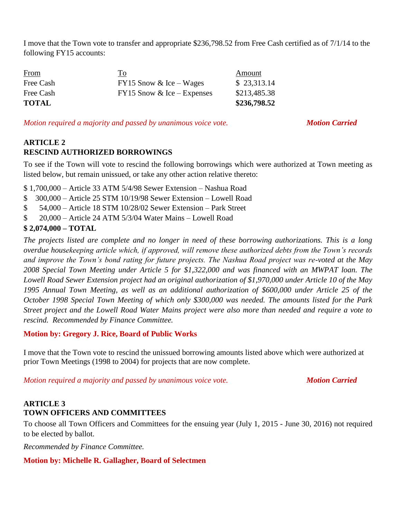I move that the Town vote to transfer and appropriate \$236,798.52 from Free Cash certified as of 7/1/14 to the following FY15 accounts:

| <b>From</b>  | To                           | Amount       |
|--------------|------------------------------|--------------|
| Free Cash    | $FY15$ Snow & Ice – Wages    | \$23,313.14  |
| Free Cash    | $FY15$ Snow & Ice – Expenses | \$213,485.38 |
| <b>TOTAL</b> |                              | \$236,798.52 |

*Motion required a majority and passed by unanimous voice vote. Motion Carried*

### **ARTICLE 2 RESCIND AUTHORIZED BORROWINGS**

To see if the Town will vote to rescind the following borrowings which were authorized at Town meeting as listed below, but remain unissued, or take any other action relative thereto:

\$ 1,700,000 – Article 33 ATM 5/4/98 Sewer Extension – Nashua Road

- \$ 300,000 Article 25 STM 10/19/98 Sewer Extension Lowell Road
- \$ 54,000 Article 18 STM 10/28/02 Sewer Extension Park Street
- \$ 20,000 Article 24 ATM 5/3/04 Water Mains Lowell Road

### **\$ 2,074,000 – TOTAL**

*The projects listed are complete and no longer in need of these borrowing authorizations. This is a long overdue housekeeping article which, if approved, will remove these authorized debts from the Town's records and improve the Town's bond rating for future projects. The Nashua Road project was re-voted at the May 2008 Special Town Meeting under Article 5 for \$1,322,000 and was financed with an MWPAT loan. The Lowell Road Sewer Extension project had an original authorization of \$1,970,000 under Article 10 of the May 1995 Annual Town Meeting, as well as an additional authorization of \$600,000 under Article 25 of the October 1998 Special Town Meeting of which only \$300,000 was needed. The amounts listed for the Park Street project and the Lowell Road Water Mains project were also more than needed and require a vote to rescind. Recommended by Finance Committee.*

### **Motion by: Gregory J. Rice, Board of Public Works**

I move that the Town vote to rescind the unissued borrowing amounts listed above which were authorized at prior Town Meetings (1998 to 2004) for projects that are now complete.

*Motion required a majority and passed by unanimous voice vote. Motion Carried* 

### **ARTICLE 3 TOWN OFFICERS AND COMMITTEES**

To choose all Town Officers and Committees for the ensuing year (July 1, 2015 - June 30, 2016) not required to be elected by ballot.

*Recommended by Finance Committee.*

### **Motion by: Michelle R. Gallagher, Board of Selectmen**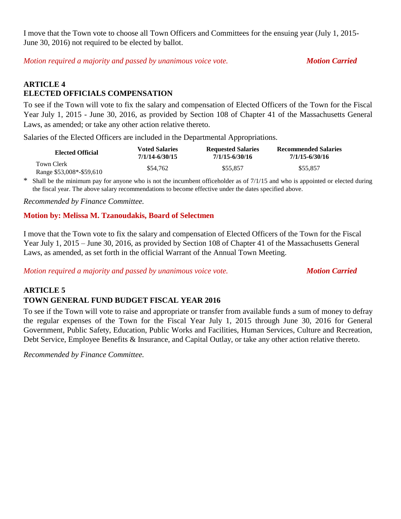I move that the Town vote to choose all Town Officers and Committees for the ensuing year (July 1, 2015- June 30, 2016) not required to be elected by ballot.

*Motion required a majority and passed by unanimous voice vote. Motion Carried* 

### **ARTICLE 4 ELECTED OFFICIALS COMPENSATION**

To see if the Town will vote to fix the salary and compensation of Elected Officers of the Town for the Fiscal Year July 1, 2015 - June 30, 2016, as provided by Section 108 of Chapter 41 of the Massachusetts General Laws, as amended; or take any other action relative thereto.

Salaries of the Elected Officers are included in the Departmental Appropriations.

| <b>Elected Official</b>                | <b>Voted Salaries</b> | <b>Requested Salaries</b> | <b>Recommended Salaries</b> |
|----------------------------------------|-----------------------|---------------------------|-----------------------------|
|                                        | 7/1/14-6/30/15        | 7/1/15-6/30/16            | 7/1/15-6/30/16              |
| Town Clerk<br>Range \$53,008*-\$59,610 | \$54,762              | \$55.857                  | \$55,857                    |

\* Shall be the minimum pay for anyone who is not the incumbent officeholder as of 7/1/15 and who is appointed or elected during the fiscal year. The above salary recommendations to become effective under the dates specified above.

*Recommended by Finance Committee.*

#### **Motion by: Melissa M. Tzanoudakis, Board of Selectmen**

I move that the Town vote to fix the salary and compensation of Elected Officers of the Town for the Fiscal Year July 1, 2015 – June 30, 2016, as provided by Section 108 of Chapter 41 of the Massachusetts General Laws, as amended, as set forth in the official Warrant of the Annual Town Meeting.

*Motion required a majority and passed by unanimous voice vote. Motion Carried* 

## **ARTICLE 5 TOWN GENERAL FUND BUDGET FISCAL YEAR 2016**

To see if the Town will vote to raise and appropriate or transfer from available funds a sum of money to defray the regular expenses of the Town for the Fiscal Year July 1, 2015 through June 30, 2016 for General Government, Public Safety, Education, Public Works and Facilities, Human Services, Culture and Recreation, Debt Service, Employee Benefits & Insurance, and Capital Outlay, or take any other action relative thereto.

*Recommended by Finance Committee.*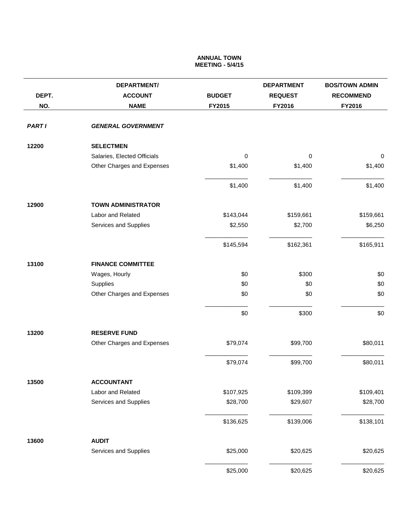#### **ANNUAL TOWN MEETING - 5/4/15**

|               | <b>DEPARTMENT/</b>          |               | <b>DEPARTMENT</b> | <b>BOS/TOWN ADMIN</b> |
|---------------|-----------------------------|---------------|-------------------|-----------------------|
| DEPT.         | <b>ACCOUNT</b>              | <b>BUDGET</b> | <b>REQUEST</b>    | <b>RECOMMEND</b>      |
| NO.           | <b>NAME</b>                 | FY2015        | FY2016            | FY2016                |
| <b>PART I</b> | <b>GENERAL GOVERNMENT</b>   |               |                   |                       |
| 12200         | <b>SELECTMEN</b>            |               |                   |                       |
|               | Salaries, Elected Officials | $\pmb{0}$     | $\mathbf 0$       | $\boldsymbol{0}$      |
|               | Other Charges and Expenses  | \$1,400       | \$1,400           | \$1,400               |
|               |                             | \$1,400       | \$1,400           | \$1,400               |
| 12900         | <b>TOWN ADMINISTRATOR</b>   |               |                   |                       |
|               | Labor and Related           | \$143,044     | \$159,661         | \$159,661             |
|               | Services and Supplies       | \$2,550       | \$2,700           | \$6,250               |
|               |                             | \$145,594     | \$162,361         | \$165,911             |
| 13100         | <b>FINANCE COMMITTEE</b>    |               |                   |                       |
|               | Wages, Hourly               | \$0           | \$300             | \$0                   |
|               | Supplies                    | \$0           | \$0               | \$0                   |
|               | Other Charges and Expenses  | \$0           | \$0               | \$0                   |
|               |                             | \$0           | \$300             | \$0                   |
| 13200         | <b>RESERVE FUND</b>         |               |                   |                       |
|               | Other Charges and Expenses  | \$79,074      | \$99,700          | \$80,011              |
|               |                             | \$79,074      | \$99,700          | \$80,011              |
| 13500         | <b>ACCOUNTANT</b>           |               |                   |                       |
|               | Labor and Related           | \$107,925     | \$109,399         | \$109,401             |
|               | Services and Supplies       | \$28,700      | \$29,607          | \$28,700              |
|               |                             | \$136,625     | \$139,006         | \$138,101             |
| 13600         | <b>AUDIT</b>                |               |                   |                       |
|               | Services and Supplies       | \$25,000      | \$20,625          | \$20,625              |
|               |                             | \$25,000      | \$20,625          | \$20,625              |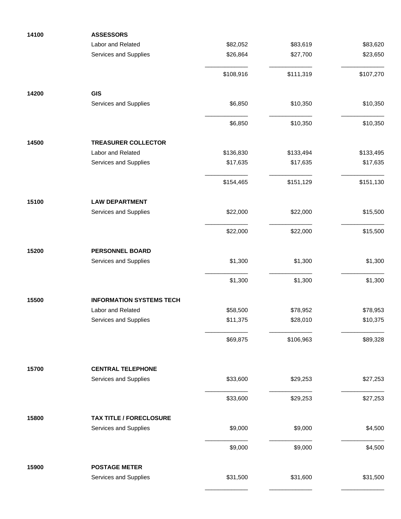| 14100 | <b>ASSESSORS</b>                |           |           |           |
|-------|---------------------------------|-----------|-----------|-----------|
|       | Labor and Related               | \$82,052  | \$83,619  | \$83,620  |
|       | Services and Supplies           | \$26,864  | \$27,700  | \$23,650  |
|       |                                 | \$108,916 | \$111,319 | \$107,270 |
| 14200 | <b>GIS</b>                      |           |           |           |
|       | Services and Supplies           | \$6,850   | \$10,350  | \$10,350  |
|       |                                 | \$6,850   | \$10,350  | \$10,350  |
| 14500 | <b>TREASURER COLLECTOR</b>      |           |           |           |
|       | Labor and Related               | \$136,830 | \$133,494 | \$133,495 |
|       | Services and Supplies           | \$17,635  | \$17,635  | \$17,635  |
|       |                                 | \$154,465 | \$151,129 | \$151,130 |
| 15100 | <b>LAW DEPARTMENT</b>           |           |           |           |
|       | Services and Supplies           | \$22,000  | \$22,000  | \$15,500  |
|       |                                 | \$22,000  | \$22,000  | \$15,500  |
| 15200 | <b>PERSONNEL BOARD</b>          |           |           |           |
|       | Services and Supplies           | \$1,300   | \$1,300   | \$1,300   |
|       |                                 | \$1,300   | \$1,300   | \$1,300   |
| 15500 | <b>INFORMATION SYSTEMS TECH</b> |           |           |           |
|       | Labor and Related               | \$58,500  | \$78,952  | \$78,953  |
|       | Services and Supplies           | \$11,375  | \$28,010  | \$10,375  |
|       |                                 | \$69,875  | \$106,963 | \$89,328  |
| 15700 | <b>CENTRAL TELEPHONE</b>        |           |           |           |
|       | Services and Supplies           | \$33,600  | \$29,253  | \$27,253  |
|       |                                 | \$33,600  | \$29,253  | \$27,253  |
| 15800 | <b>TAX TITLE / FORECLOSURE</b>  |           |           |           |
|       | Services and Supplies           | \$9,000   | \$9,000   | \$4,500   |
|       |                                 | \$9,000   | \$9,000   | \$4,500   |
| 15900 | <b>POSTAGE METER</b>            |           |           |           |
|       | Services and Supplies           | \$31,500  | \$31,600  | \$31,500  |
|       |                                 |           |           |           |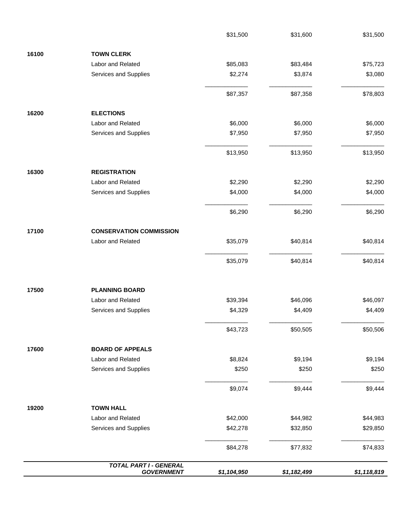|       | <b>TOTAL PART I - GENERAL</b><br><b>GOVERNMENT</b> | \$1,104,950 | \$1,182,499 | \$1,118,819 |
|-------|----------------------------------------------------|-------------|-------------|-------------|
|       |                                                    | \$84,278    | \$77,832    | \$74,833    |
|       | Services and Supplies                              | \$42,278    | \$32,850    | \$29,850    |
|       | Labor and Related                                  | \$42,000    | \$44,982    | \$44,983    |
| 19200 | <b>TOWN HALL</b>                                   |             |             |             |
|       |                                                    | \$9,074     | \$9,444     | \$9,444     |
|       | Services and Supplies                              | \$250       | \$250       | \$250       |
|       | Labor and Related                                  | \$8,824     | \$9,194     | \$9,194     |
| 17600 | <b>BOARD OF APPEALS</b>                            |             |             |             |
|       |                                                    | \$43,723    | \$50,505    | \$50,506    |
|       | Services and Supplies                              | \$4,329     | \$4,409     | \$4,409     |
| 17500 | <b>PLANNING BOARD</b><br>Labor and Related         | \$39,394    | \$46,096    | \$46,097    |
|       |                                                    | \$35,079    | \$40,814    | \$40,814    |
|       | Labor and Related                                  | \$35,079    | \$40,814    | \$40,814    |
| 17100 | <b>CONSERVATION COMMISSION</b>                     |             |             |             |
|       |                                                    | \$6,290     | \$6,290     | \$6,290     |
|       | Services and Supplies                              | \$4,000     | \$4,000     | \$4,000     |
| 16300 | <b>REGISTRATION</b><br>Labor and Related           | \$2,290     | \$2,290     | \$2,290     |
|       |                                                    | \$13,950    | \$13,950    | \$13,950    |
|       | Services and Supplies                              | \$7,950     | \$7,950     | \$7,950     |
| 16200 | <b>ELECTIONS</b><br>Labor and Related              | \$6,000     | \$6,000     | \$6,000     |
|       |                                                    | \$87,357    | \$87,358    | \$78,803    |
|       | Services and Supplies                              | \$2,274     | \$3,874     | \$3,080     |
|       | Labor and Related                                  | \$85,083    | \$83,484    | \$75,723    |
| 16100 | <b>TOWN CLERK</b>                                  |             |             |             |
|       |                                                    | \$31,500    | \$31,600    | \$31,500    |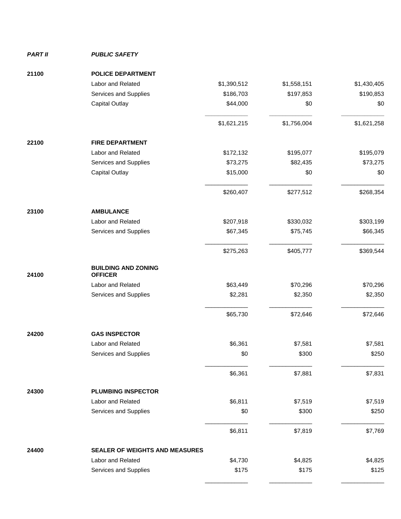#### *PART II PUBLIC SAFETY*

| 21100 | <b>POLICE DEPARTMENT</b>                     |             |             |             |
|-------|----------------------------------------------|-------------|-------------|-------------|
|       | Labor and Related                            | \$1,390,512 | \$1,558,151 | \$1,430,405 |
|       | Services and Supplies                        | \$186,703   | \$197,853   | \$190,853   |
|       | <b>Capital Outlay</b>                        | \$44,000    | \$0         | \$0         |
|       |                                              | \$1,621,215 | \$1,756,004 | \$1,621,258 |
| 22100 | <b>FIRE DEPARTMENT</b>                       |             |             |             |
|       | Labor and Related                            | \$172,132   | \$195,077   | \$195,079   |
|       | Services and Supplies                        | \$73,275    | \$82,435    | \$73,275    |
|       | <b>Capital Outlay</b>                        | \$15,000    | \$0         | \$0         |
|       |                                              | \$260,407   | \$277,512   | \$268,354   |
| 23100 | <b>AMBULANCE</b>                             |             |             |             |
|       | Labor and Related                            | \$207,918   | \$330,032   | \$303,199   |
|       | Services and Supplies                        | \$67,345    | \$75,745    | \$66,345    |
|       |                                              | \$275,263   | \$405,777   | \$369,544   |
| 24100 | <b>BUILDING AND ZONING</b><br><b>OFFICER</b> |             |             |             |
|       | Labor and Related                            | \$63,449    | \$70,296    | \$70,296    |
|       | Services and Supplies                        | \$2,281     | \$2,350     | \$2,350     |
|       |                                              | \$65,730    | \$72,646    | \$72,646    |
| 24200 | <b>GAS INSPECTOR</b>                         |             |             |             |
|       | Labor and Related                            | \$6,361     | \$7,581     | \$7,581     |
|       | Services and Supplies                        | \$0         | \$300       | \$250       |
|       |                                              | \$6,361     | \$7,881     | \$7,831     |
| 24300 | <b>PLUMBING INSPECTOR</b>                    |             |             |             |
|       | Labor and Related                            | \$6,811     | \$7,519     | \$7,519     |
|       | Services and Supplies                        | \$0         | \$300       | \$250       |
|       |                                              | \$6,811     | \$7,819     | \$7,769     |
| 24400 | <b>SEALER OF WEIGHTS AND MEASURES</b>        |             |             |             |
|       | Labor and Related                            | \$4,730     | \$4,825     | \$4,825     |
|       | Services and Supplies                        | \$175       | \$175       | \$125       |
|       |                                              |             |             |             |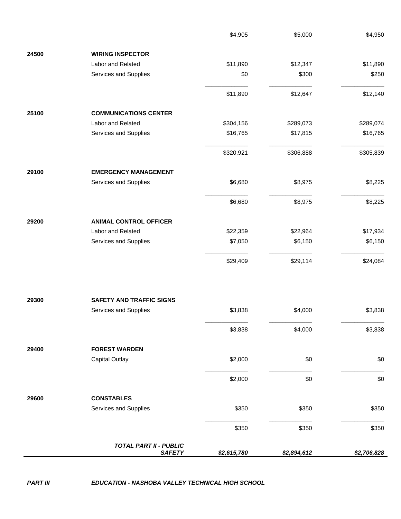|       |                                                | \$4,905     | \$5,000     | \$4,950     |
|-------|------------------------------------------------|-------------|-------------|-------------|
| 24500 | <b>WIRING INSPECTOR</b>                        |             |             |             |
|       | Labor and Related                              | \$11,890    | \$12,347    | \$11,890    |
|       | Services and Supplies                          | \$0         | \$300       | \$250       |
|       |                                                | \$11,890    | \$12,647    | \$12,140    |
| 25100 | <b>COMMUNICATIONS CENTER</b>                   |             |             |             |
|       | Labor and Related                              | \$304,156   | \$289,073   | \$289,074   |
|       | Services and Supplies                          | \$16,765    | \$17,815    | \$16,765    |
|       |                                                | \$320,921   | \$306,888   | \$305,839   |
| 29100 | <b>EMERGENCY MANAGEMENT</b>                    |             |             |             |
|       | Services and Supplies                          | \$6,680     | \$8,975     | \$8,225     |
|       |                                                | \$6,680     | \$8,975     | \$8,225     |
| 29200 | <b>ANIMAL CONTROL OFFICER</b>                  |             |             |             |
|       | Labor and Related                              | \$22,359    | \$22,964    | \$17,934    |
|       | Services and Supplies                          | \$7,050     | \$6,150     | \$6,150     |
|       |                                                | \$29,409    | \$29,114    | \$24,084    |
| 29300 | <b>SAFETY AND TRAFFIC SIGNS</b>                |             |             |             |
|       | Services and Supplies                          | \$3,838     | \$4,000     | \$3,838     |
|       |                                                | \$3,838     | \$4,000     | \$3,838     |
| 29400 | <b>FOREST WARDEN</b>                           |             |             |             |
|       | <b>Capital Outlay</b>                          | \$2,000     | \$0         | \$0         |
|       |                                                | \$2,000     | \$0         | \$0         |
| 29600 | <b>CONSTABLES</b>                              |             |             |             |
|       | Services and Supplies                          | \$350       | \$350       | \$350       |
|       |                                                | \$350       | \$350       | \$350       |
|       | <b>TOTAL PART II - PUBLIC</b><br><b>SAFETY</b> |             |             |             |
|       |                                                | \$2,615,780 | \$2,894,612 | \$2,706,828 |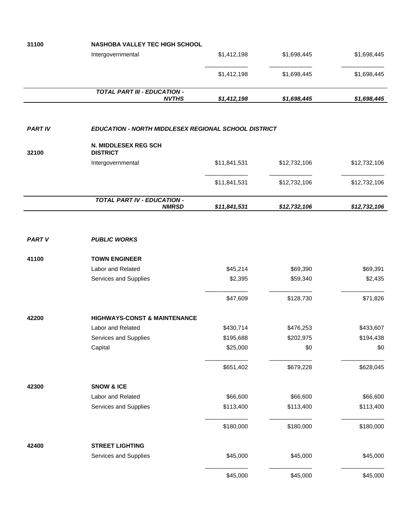| 31100          | <b>NASHOBA VALLEY TEC HIGH SCHOOL</b>                       |              |              |              |  |  |
|----------------|-------------------------------------------------------------|--------------|--------------|--------------|--|--|
|                | Intergovernmental                                           | \$1,412,198  | \$1,698,445  | \$1,698,445  |  |  |
|                |                                                             | \$1,412,198  | \$1,698,445  | \$1,698,445  |  |  |
|                | <b>TOTAL PART III - EDUCATION -</b>                         |              |              |              |  |  |
|                | <b>NVTHS</b>                                                | \$1,412,198  | \$1,698,445  | \$1,698,445  |  |  |
| <b>PART IV</b> | <b>EDUCATION - NORTH MIDDLESEX REGIONAL SCHOOL DISTRICT</b> |              |              |              |  |  |
| 32100          | N. MIDDLESEX REG SCH<br><b>DISTRICT</b>                     |              |              |              |  |  |
|                | Intergovernmental                                           | \$11,841,531 | \$12,732,106 | \$12,732,106 |  |  |
|                |                                                             | \$11,841,531 | \$12,732,106 | \$12,732,106 |  |  |
|                | <b>TOTAL PART IV - EDUCATION -</b><br><b>NMRSD</b>          | \$11,841,531 | \$12,732,106 | \$12,732,106 |  |  |
|                |                                                             |              |              |              |  |  |
| <b>PART V</b>  | <b>PUBLIC WORKS</b>                                         |              |              |              |  |  |
| 41100          | <b>TOWN ENGINEER</b>                                        |              |              |              |  |  |
|                | Labor and Related                                           | \$45,214     | \$69,390     | \$69,391     |  |  |
|                | Services and Supplies                                       | \$2,395      | \$59,340     | \$2,435      |  |  |
|                |                                                             | \$47,609     | \$128,730    | \$71,826     |  |  |
| 42200          | <b>HIGHWAYS-CONST &amp; MAINTENANCE</b>                     |              |              |              |  |  |
|                | Labor and Related                                           | \$430,714    | \$476,253    | \$433,607    |  |  |
|                | Services and Supplies                                       | \$195,688    | \$202,975    | \$194,438    |  |  |
|                | Capital                                                     | \$25,000     | \$0          | \$0          |  |  |
|                |                                                             | \$651,402    | \$679,228    | \$628,045    |  |  |
| 42300          | <b>SNOW &amp; ICE</b>                                       |              |              |              |  |  |
|                | Labor and Related                                           | \$66,600     | \$66,600     | \$66,600     |  |  |
|                | Services and Supplies                                       | \$113,400    | \$113,400    | \$113,400    |  |  |
|                |                                                             | \$180,000    | \$180,000    | \$180,000    |  |  |
| 42400          | <b>STREET LIGHTING</b>                                      |              |              |              |  |  |
|                | Services and Supplies                                       | \$45,000     | \$45,000     | \$45,000     |  |  |
|                |                                                             | \$45,000     | \$45,000     | \$45,000     |  |  |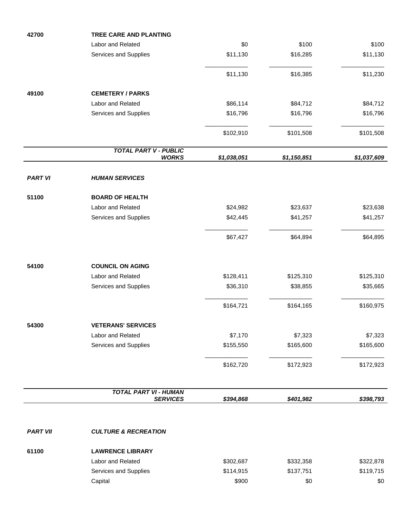| 42700           | <b>TREE CARE AND PLANTING</b>                |             |             |             |
|-----------------|----------------------------------------------|-------------|-------------|-------------|
|                 | Labor and Related                            | \$0         | \$100       | \$100       |
|                 | Services and Supplies                        | \$11,130    | \$16,285    | \$11,130    |
|                 |                                              | \$11,130    | \$16,385    | \$11,230    |
| 49100           | <b>CEMETERY / PARKS</b>                      |             |             |             |
|                 | Labor and Related                            | \$86,114    | \$84,712    | \$84,712    |
|                 | Services and Supplies                        | \$16,796    | \$16,796    | \$16,796    |
|                 |                                              |             |             |             |
|                 |                                              | \$102,910   | \$101,508   | \$101,508   |
|                 | <b>TOTAL PART V - PUBLIC</b><br><b>WORKS</b> | \$1,038,051 | \$1,150,851 | \$1,037,609 |
| <b>PART VI</b>  | <b>HUMAN SERVICES</b>                        |             |             |             |
| 51100           | <b>BOARD OF HEALTH</b>                       |             |             |             |
|                 | Labor and Related                            | \$24,982    | \$23,637    | \$23,638    |
|                 | Services and Supplies                        | \$42,445    | \$41,257    | \$41,257    |
|                 |                                              |             |             |             |
|                 |                                              | \$67,427    | \$64,894    | \$64,895    |
| 54100           | <b>COUNCIL ON AGING</b>                      |             |             |             |
|                 | Labor and Related                            | \$128,411   | \$125,310   | \$125,310   |
|                 | Services and Supplies                        | \$36,310    | \$38,855    | \$35,665    |
|                 |                                              |             |             |             |
|                 |                                              | \$164,721   | \$164,165   | \$160,975   |
| 54300           | <b>VETERANS' SERVICES</b>                    |             |             |             |
|                 | Labor and Related                            | \$7,170     | \$7,323     | \$7,323     |
|                 | Services and Supplies                        | \$155,550   | \$165,600   | \$165,600   |
|                 |                                              | \$162,720   | \$172,923   | \$172,923   |
|                 | <b>TOTAL PART VI - HUMAN</b>                 |             |             |             |
|                 | <b>SERVICES</b>                              | \$394,868   | \$401,982   | \$398,793   |
|                 |                                              |             |             |             |
| <b>PART VII</b> | <b>CULTURE &amp; RECREATION</b>              |             |             |             |
| 61100           | <b>LAWRENCE LIBRARY</b>                      |             |             |             |
|                 | Labor and Related                            | \$302,687   | \$332,358   | \$322,878   |
|                 | Services and Supplies                        | \$114,915   | \$137,751   | \$119,715   |
|                 | Capital                                      | \$900       | \$0         | \$0         |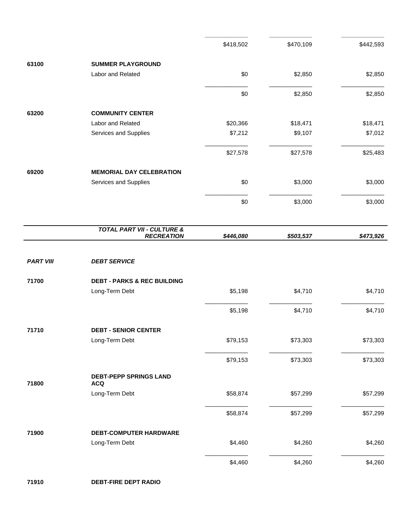|                  |                                                            | \$418,502 | \$470,109 | \$442,593 |
|------------------|------------------------------------------------------------|-----------|-----------|-----------|
| 63100            | <b>SUMMER PLAYGROUND</b>                                   |           |           |           |
|                  | Labor and Related                                          | \$0       | \$2,850   | \$2,850   |
|                  |                                                            | \$0       | \$2,850   | \$2,850   |
| 63200            | <b>COMMUNITY CENTER</b>                                    |           |           |           |
|                  | Labor and Related                                          | \$20,366  | \$18,471  | \$18,471  |
|                  | Services and Supplies                                      | \$7,212   | \$9,107   | \$7,012   |
|                  |                                                            | \$27,578  | \$27,578  | \$25,483  |
| 69200            | <b>MEMORIAL DAY CELEBRATION</b>                            |           |           |           |
|                  | Services and Supplies                                      | \$0       | \$3,000   | \$3,000   |
|                  |                                                            | \$0       | \$3,000   | \$3,000   |
|                  | <b>TOTAL PART VII - CULTURE &amp;</b><br><b>RECREATION</b> | \$446,080 | \$503,537 | \$473,926 |
|                  |                                                            |           |           |           |
| <b>PART VIII</b> | <b>DEBT SERVICE</b>                                        |           |           |           |
| 71700            | <b>DEBT - PARKS &amp; REC BUILDING</b>                     |           |           |           |
|                  | Long-Term Debt                                             | \$5,198   | \$4,710   | \$4,710   |
|                  |                                                            | \$5,198   | \$4,710   | \$4,710   |
| 71710            | <b>DEBT - SENIOR CENTER</b>                                |           |           |           |
|                  | Long-Term Debt                                             | \$79,153  | \$73,303  | \$73,303  |
|                  |                                                            | \$79,153  | \$73,303  | \$73,303  |
| 71800            | <b>DEBT-PEPP SPRINGS LAND</b><br><b>ACQ</b>                |           |           |           |
|                  | Long-Term Debt                                             | \$58,874  | \$57,299  | \$57,299  |
|                  |                                                            | \$58,874  | \$57,299  | \$57,299  |
|                  |                                                            |           |           |           |
| 71900            | <b>DEBT-COMPUTER HARDWARE</b>                              |           |           |           |
|                  | Long-Term Debt                                             | \$4,460   | \$4,260   | \$4,260   |

**\_\_\_\_\_\_\_\_\_\_\_\_\_ \_\_\_\_\_\_\_\_\_\_\_\_\_ \_\_\_\_\_\_\_\_\_\_\_\_\_**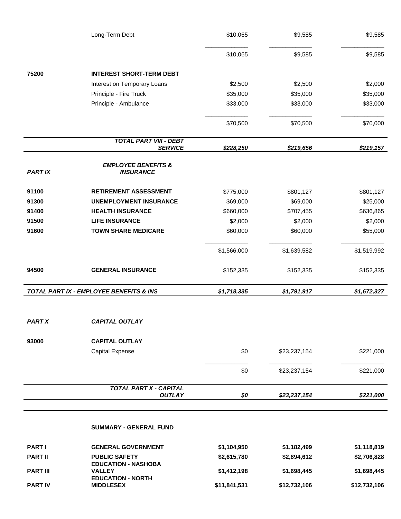|                 | Long-Term Debt                                     | \$10,065     | \$9,585      | \$9,585      |
|-----------------|----------------------------------------------------|--------------|--------------|--------------|
|                 |                                                    | \$10,065     | \$9,585      | \$9,585      |
| 75200           | <b>INTEREST SHORT-TERM DEBT</b>                    |              |              |              |
|                 | Interest on Temporary Loans                        | \$2,500      | \$2,500      | \$2,000      |
|                 | Principle - Fire Truck                             | \$35,000     | \$35,000     | \$35,000     |
|                 | Principle - Ambulance                              | \$33,000     | \$33,000     | \$33,000     |
|                 |                                                    | \$70,500     | \$70,500     | \$70,000     |
|                 | <b>TOTAL PART VIII - DEBT</b><br><b>SERVICE</b>    | \$228,250    | \$219,656    | \$219,157    |
| <b>PART IX</b>  | <b>EMPLOYEE BENEFITS &amp;</b><br><b>INSURANCE</b> |              |              |              |
| 91100           | <b>RETIREMENT ASSESSMENT</b>                       | \$775,000    | \$801,127    | \$801,127    |
| 91300           | <b>UNEMPLOYMENT INSURANCE</b>                      | \$69,000     | \$69,000     | \$25,000     |
| 91400           | <b>HEALTH INSURANCE</b>                            | \$660,000    | \$707,455    | \$636,865    |
| 91500           | <b>LIFE INSURANCE</b>                              | \$2,000      | \$2,000      | \$2,000      |
| 91600           | <b>TOWN SHARE MEDICARE</b>                         | \$60,000     | \$60,000     | \$55,000     |
|                 |                                                    | \$1,566,000  | \$1,639,582  | \$1,519,992  |
| 94500           | <b>GENERAL INSURANCE</b>                           | \$152,335    | \$152,335    | \$152,335    |
|                 | TOTAL PART IX - EMPLOYEE BENEFITS & INS            | \$1,718,335  | \$1,791,917  | \$1,672,327  |
| <b>PART X</b>   | <b>CAPITAL OUTLAY</b>                              |              |              |              |
| 93000           | <b>CAPITAL OUTLAY</b>                              |              |              |              |
|                 | <b>Capital Expense</b>                             | \$0          | \$23,237,154 | \$221,000    |
|                 |                                                    | \$0          | \$23,237,154 | \$221,000    |
|                 | TOTAL PART X - CAPITAL                             |              |              |              |
|                 | <b>OUTLAY</b>                                      | \$0          | \$23,237,154 | \$221,000    |
|                 | <b>SUMMARY - GENERAL FUND</b>                      |              |              |              |
| <b>PARTI</b>    | <b>GENERAL GOVERNMENT</b>                          | \$1,104,950  | \$1,182,499  | \$1,118,819  |
| <b>PART II</b>  | <b>PUBLIC SAFETY</b><br><b>EDUCATION - NASHOBA</b> | \$2,615,780  | \$2,894,612  | \$2,706,828  |
| <b>PART III</b> | <b>VALLEY</b><br><b>EDUCATION - NORTH</b>          | \$1,412,198  | \$1,698,445  | \$1,698,445  |
| <b>PART IV</b>  | <b>MIDDLESEX</b>                                   | \$11,841,531 | \$12,732,106 | \$12,732,106 |

**MIDDLESEX \$11,841,531 \$12,732,106 \$12,732,106**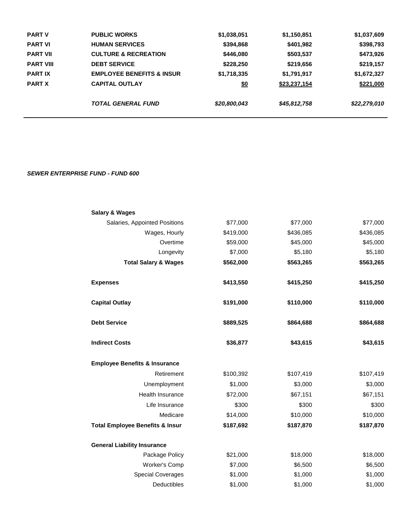| <b>PART V</b>    | <b>PUBLIC WORKS</b>                  | \$1,038,051  | \$1,150,851  | \$1,037,609  |
|------------------|--------------------------------------|--------------|--------------|--------------|
| <b>PART VI</b>   | <b>HUMAN SERVICES</b>                | \$394,868    | \$401,982    | \$398,793    |
| <b>PART VII</b>  | <b>CULTURE &amp; RECREATION</b>      | \$446,080    | \$503,537    | \$473,926    |
| <b>PART VIII</b> | <b>DEBT SERVICE</b>                  | \$228,250    | \$219,656    | \$219,157    |
| <b>PARTIX</b>    | <b>EMPLOYEE BENEFITS &amp; INSUR</b> | \$1,718,335  | \$1,791,917  | \$1,672,327  |
| <b>PART X</b>    | <b>CAPITAL OUTLAY</b>                | <u>\$0</u>   | \$23,237,154 | \$221,000    |
|                  | <b>TOTAL GENERAL FUND</b>            | \$20,800,043 | \$45,812,758 | \$22,279,010 |

#### *SEWER ENTERPRISE FUND - FUND 600*

| <b>Salary &amp; Wages</b>                  |           |           |           |
|--------------------------------------------|-----------|-----------|-----------|
| Salaries, Appointed Positions              | \$77,000  | \$77,000  | \$77,000  |
| Wages, Hourly                              | \$419,000 | \$436,085 | \$436,085 |
| Overtime                                   | \$59,000  | \$45,000  | \$45,000  |
| Longevity                                  | \$7,000   | \$5,180   | \$5,180   |
| <b>Total Salary &amp; Wages</b>            | \$562,000 | \$563,265 | \$563,265 |
| <b>Expenses</b>                            | \$413,550 | \$415,250 | \$415,250 |
| <b>Capital Outlay</b>                      | \$191,000 | \$110,000 | \$110,000 |
| <b>Debt Service</b>                        | \$889,525 | \$864,688 | \$864,688 |
| <b>Indirect Costs</b>                      | \$36,877  | \$43,615  | \$43,615  |
| <b>Employee Benefits &amp; Insurance</b>   |           |           |           |
| Retirement                                 | \$100,392 | \$107,419 | \$107,419 |
| Unemployment                               | \$1,000   | \$3,000   | \$3,000   |
| Health Insurance                           | \$72,000  | \$67,151  | \$67,151  |
| Life Insurance                             | \$300     | \$300     | \$300     |
| Medicare                                   | \$14,000  | \$10,000  | \$10,000  |
| <b>Total Employee Benefits &amp; Insur</b> | \$187,692 | \$187,870 | \$187,870 |
|                                            |           |           |           |
| <b>General Liability Insurance</b>         |           |           |           |
| Package Policy                             | \$21,000  | \$18,000  | \$18,000  |
| Worker's Comp                              | \$7,000   | \$6,500   | \$6,500   |
| <b>Special Coverages</b>                   | \$1,000   | \$1,000   | \$1,000   |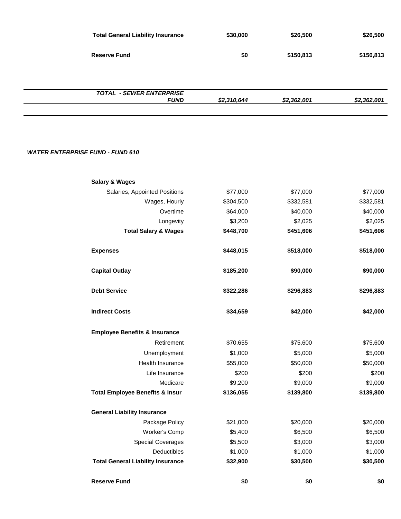| <b>Total General Liability Insurance</b>       | \$30,000    | \$26,500    | \$26,500    |
|------------------------------------------------|-------------|-------------|-------------|
| <b>Reserve Fund</b>                            | \$0         | \$150,813   | \$150,813   |
|                                                |             |             |             |
| <b>TOTAL - SEWER ENTERPRISE</b><br><b>FUND</b> | \$2,310,644 | \$2,362,001 | \$2,362,001 |
|                                                |             |             |             |

#### *WATER ENTERPRISE FUND - FUND 610*

| <b>Salary &amp; Wages</b>                  |           |           |           |
|--------------------------------------------|-----------|-----------|-----------|
| Salaries, Appointed Positions              | \$77,000  | \$77,000  | \$77,000  |
| Wages, Hourly                              | \$304,500 | \$332,581 | \$332,581 |
| Overtime                                   | \$64,000  | \$40,000  | \$40,000  |
| Longevity                                  | \$3,200   | \$2,025   | \$2,025   |
| <b>Total Salary &amp; Wages</b>            | \$448,700 | \$451,606 | \$451,606 |
| <b>Expenses</b>                            | \$448,015 | \$518,000 | \$518,000 |
| <b>Capital Outlay</b>                      | \$185,200 | \$90,000  | \$90,000  |
| <b>Debt Service</b>                        | \$322,286 | \$296,883 | \$296,883 |
| <b>Indirect Costs</b>                      | \$34,659  | \$42,000  | \$42,000  |
| <b>Employee Benefits &amp; Insurance</b>   |           |           |           |
| Retirement                                 | \$70,655  | \$75,600  | \$75,600  |
| Unemployment                               | \$1,000   | \$5,000   | \$5,000   |
| Health Insurance                           | \$55,000  | \$50,000  | \$50,000  |
| Life Insurance                             | \$200     | \$200     | \$200     |
| Medicare                                   | \$9,200   | \$9,000   | \$9,000   |
| <b>Total Employee Benefits &amp; Insur</b> | \$136,055 | \$139,800 | \$139,800 |
| <b>General Liability Insurance</b>         |           |           |           |
| Package Policy                             | \$21,000  | \$20,000  | \$20,000  |
| Worker's Comp                              | \$5,400   | \$6,500   | \$6,500   |
| <b>Special Coverages</b>                   | \$5,500   | \$3,000   | \$3,000   |
| Deductibles                                | \$1,000   | \$1,000   | \$1,000   |
| <b>Total General Liability Insurance</b>   | \$32,900  | \$30,500  | \$30,500  |
| <b>Reserve Fund</b>                        | \$0       | \$0       | \$0       |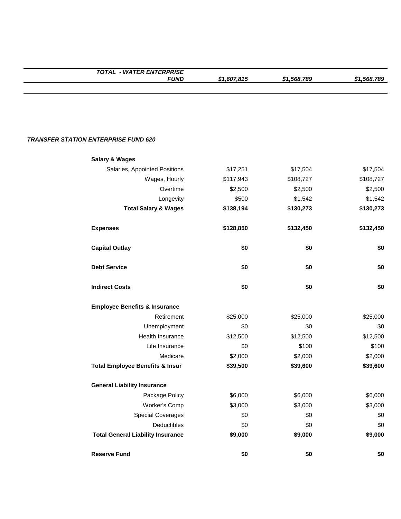| <b>TOTAL - WATER ENTERPRISE</b>             |             |             |             |
|---------------------------------------------|-------------|-------------|-------------|
| <b>FUND</b>                                 | \$1,607,815 | \$1,568,789 | \$1,568,789 |
|                                             |             |             |             |
|                                             |             |             |             |
|                                             |             |             |             |
|                                             |             |             |             |
| <b>TRANSFER STATION ENTERPRISE FUND 620</b> |             |             |             |
| <b>Salary &amp; Wages</b>                   |             |             |             |
| Salaries, Appointed Positions               | \$17,251    | \$17,504    | \$17,504    |
| Wages, Hourly                               | \$117,943   | \$108,727   | \$108,727   |
| Overtime                                    | \$2,500     | \$2,500     | \$2,500     |
| Longevity                                   | \$500       | \$1,542     | \$1,542     |
| <b>Total Salary &amp; Wages</b>             | \$138,194   | \$130,273   | \$130,273   |
| <b>Expenses</b>                             | \$128,850   | \$132,450   | \$132,450   |
| <b>Capital Outlay</b>                       | \$0         | \$0         | \$0         |
| <b>Debt Service</b>                         | \$0         | \$0         | \$0         |
| <b>Indirect Costs</b>                       | \$0         | \$0         | \$0         |
| <b>Employee Benefits &amp; Insurance</b>    |             |             |             |
| Retirement                                  | \$25,000    | \$25,000    | \$25,000    |
| Unemployment                                | \$0         | \$0         | \$0         |
| Health Insurance                            | \$12,500    | \$12,500    | \$12,500    |
| Life Insurance                              | \$0         | \$100       | \$100       |
| Medicare                                    | \$2,000     | \$2,000     | \$2,000     |
| <b>Total Employee Benefits &amp; Insur</b>  | \$39,500    | \$39,600    | \$39,600    |
| <b>General Liability Insurance</b>          |             |             |             |
| Package Policy                              | \$6,000     | \$6,000     | \$6,000     |
| Worker's Comp                               | \$3,000     | \$3,000     | \$3,000     |
| <b>Special Coverages</b>                    | \$0         | \$0         | \$0         |
| Deductibles                                 | \$0         | \$0         | \$0         |
| <b>Total General Liability Insurance</b>    | \$9,000     | \$9,000     | \$9,000     |
| <b>Reserve Fund</b>                         | \$0         | \$0         | \$0         |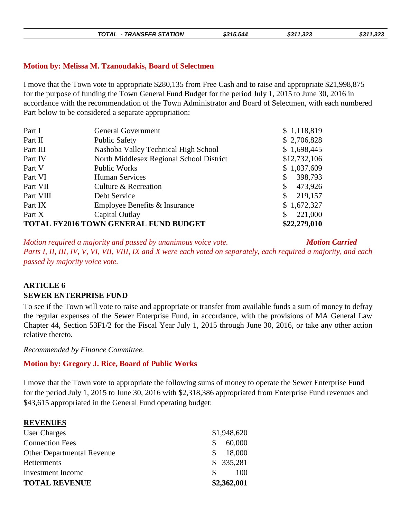|  | - TRANSFER STATION<br><b>TOTAL</b> | \$315.544 | \$311.323 | \$311,323 |
|--|------------------------------------|-----------|-----------|-----------|
|--|------------------------------------|-----------|-----------|-----------|

#### **Motion by: Melissa M. Tzanoudakis, Board of Selectmen**

I move that the Town vote to appropriate \$280,135 from Free Cash and to raise and appropriate \$21,998,875 for the purpose of funding the Town General Fund Budget for the period July 1, 2015 to June 30, 2016 in accordance with the recommendation of the Town Administrator and Board of Selectmen, with each numbered Part below to be considered a separate appropriation:

| Part I    | <b>General Government</b>                    | \$1,118,819   |
|-----------|----------------------------------------------|---------------|
| Part II   | <b>Public Safety</b>                         | \$2,706,828   |
| Part III  | Nashoba Valley Technical High School         | \$1,698,445   |
| Part IV   | North Middlesex Regional School District     | \$12,732,106  |
| Part V    | Public Works                                 | \$1,037,609   |
| Part VI   | <b>Human Services</b>                        | 398,793<br>\$ |
| Part VII  | Culture & Recreation                         | 473,926<br>\$ |
| Part VIII | Debt Service                                 | 219,157<br>\$ |
| Part IX   | Employee Benefits & Insurance                | \$1,672,327   |
| Part X    | Capital Outlay                               | 221,000<br>S  |
|           | <b>TOTAL FY2016 TOWN GENERAL FUND BUDGET</b> | \$22,279,010  |

*Motion required a majority and passed by unanimous voice vote. Motion Carried Parts I, II, III, IV, V, VI, VII, VIII, IX and X were each voted on separately, each required a majority, and each passed by majority voice vote.*

### **ARTICLE 6 SEWER ENTERPRISE FUND**

To see if the Town will vote to raise and appropriate or transfer from available funds a sum of money to defray the regular expenses of the Sewer Enterprise Fund, in accordance, with the provisions of MA General Law Chapter 44, Section 53F1/2 for the Fiscal Year July 1, 2015 through June 30, 2016, or take any other action relative thereto.

*Recommended by Finance Committee.*

#### **Motion by: Gregory J. Rice, Board of Public Works**

I move that the Town vote to appropriate the following sums of money to operate the Sewer Enterprise Fund for the period July 1, 2015 to June 30, 2016 with \$2,318,386 appropriated from Enterprise Fund revenues and \$43,615 appropriated in the General Fund operating budget:

#### **REVENUES**

| <b>TOTAL REVENUE</b>              | \$2,362,001            |
|-----------------------------------|------------------------|
| Investment Income                 | 100<br>SS.             |
| <b>Betterments</b>                | \$335,281              |
| <b>Other Departmental Revenue</b> | 18,000<br>S.           |
| <b>Connection Fees</b>            | 60,000<br><sup>S</sup> |
| <b>User Charges</b>               | \$1,948,620            |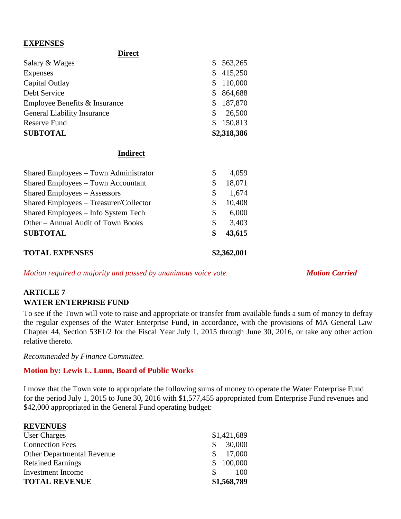#### **EXPENSES**

| <b>Direct</b>                      |    |             |
|------------------------------------|----|-------------|
| Salary & Wages                     |    | \$563,265   |
| Expenses                           | S. | 415,250     |
| Capital Outlay                     |    | 110,000     |
| Debt Service                       |    | 864,688     |
| Employee Benefits & Insurance      | S  | 187,870     |
| <b>General Liability Insurance</b> | \$ | 26,500      |
| Reserve Fund                       |    | 150,813     |
| <b>SUBTOTAL</b>                    |    | \$2,318,386 |

#### **Indirect**

| <b>TOTAL EXPENSES</b>                  |    | \$2,362,001 |
|----------------------------------------|----|-------------|
| <b>SUBTOTAL</b>                        | \$ | 43,615      |
| Other - Annual Audit of Town Books     | \$ | 3,403       |
| Shared Employees – Info System Tech    | \$ | 6,000       |
| Shared Employees – Treasurer/Collector | \$ | 10,408      |
| Shared Employees - Assessors           | \$ | 1,674       |
| Shared Employees – Town Accountant     | \$ | 18,071      |
| Shared Employees – Town Administrator  | S  | 4,059       |
|                                        |    |             |

*Motion required a majority and passed by unanimous voice vote. Motion Carried* 

### **ARTICLE 7 WATER ENTERPRISE FUND**

To see if the Town will vote to raise and appropriate or transfer from available funds a sum of money to defray the regular expenses of the Water Enterprise Fund, in accordance, with the provisions of MA General Law Chapter 44, Section 53F1/2 for the Fiscal Year July 1, 2015 through June 30, 2016, or take any other action relative thereto.

*Recommended by Finance Committee.*

### **Motion by: Lewis L. Lunn, Board of Public Works**

I move that the Town vote to appropriate the following sums of money to operate the Water Enterprise Fund for the period July 1, 2015 to June 30, 2016 with \$1,577,455 appropriated from Enterprise Fund revenues and \$42,000 appropriated in the General Fund operating budget:

| <b>REVENUES</b>                   |              |
|-----------------------------------|--------------|
| <b>User Charges</b>               | \$1,421,689  |
| <b>Connection Fees</b>            | 30,000<br>\$ |
| <b>Other Departmental Revenue</b> | 17,000       |
| <b>Retained Earnings</b>          | \$100,000    |
| Investment Income                 | 100<br>S.    |
| <b>TOTAL REVENUE</b>              | \$1,568,789  |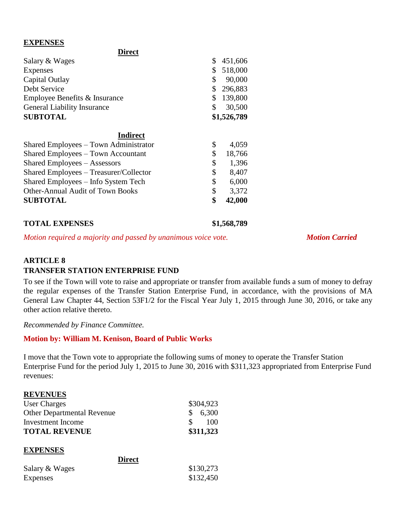#### **EXPENSES**

| Direct                                    |               |
|-------------------------------------------|---------------|
| Salary & Wages                            | \$<br>451,606 |
| Expenses                                  | \$<br>518,000 |
| Capital Outlay                            | \$<br>90,000  |
| Debt Service                              | \$<br>296,883 |
| Employee Benefits & Insurance             | \$<br>139,800 |
| <b>General Liability Insurance</b>        | \$<br>30,500  |
| <b>SUBTOTAL</b>                           | \$1,526,789   |
| <b>Indirect</b>                           |               |
| Shared Employees – Town Administrator     | \$<br>4,059   |
| <b>Shared Employees – Town Accountant</b> | \$<br>18,766  |
| <b>Shared Employees – Assessors</b>       | \$<br>1,396   |
| Shared Employees – Treasurer/Collector    | \$<br>8,407   |
| Shared Employees – Info System Tech       | \$<br>6,000   |
| <b>Other-Annual Audit of Town Books</b>   | \$<br>3,372   |
| <b>SUBTOTAL</b>                           | \$<br>42,000  |
|                                           |               |

**Direct**

**TOTAL EXPENSES \$1,568,789**

*Motion required a majority and passed by unanimous voice vote. Motion Carried* 

# **ARTICLE 8**

### **TRANSFER STATION ENTERPRISE FUND**

To see if the Town will vote to raise and appropriate or transfer from available funds a sum of money to defray the regular expenses of the Transfer Station Enterprise Fund, in accordance, with the provisions of MA General Law Chapter 44, Section 53F1/2 for the Fiscal Year July 1, 2015 through June 30, 2016, or take any other action relative thereto.

*Recommended by Finance Committee.*

#### **Motion by: William M. Kenison, Board of Public Works**

I move that the Town vote to appropriate the following sums of money to operate the Transfer Station Enterprise Fund for the period July 1, 2015 to June 30, 2016 with \$311,323 appropriated from Enterprise Fund revenues:

#### **REVENUES**

| User Charges                      | \$304,923           |
|-----------------------------------|---------------------|
| <b>Other Departmental Revenue</b> | \$6,300             |
| Investment Income                 | <sup>S</sup><br>100 |
| <b>TOTAL REVENUE</b>              | \$311,323           |

#### **EXPENSES**

| <b>Direct</b>   |           |
|-----------------|-----------|
| Salary & Wages  | \$130,273 |
| <b>Expenses</b> | \$132,450 |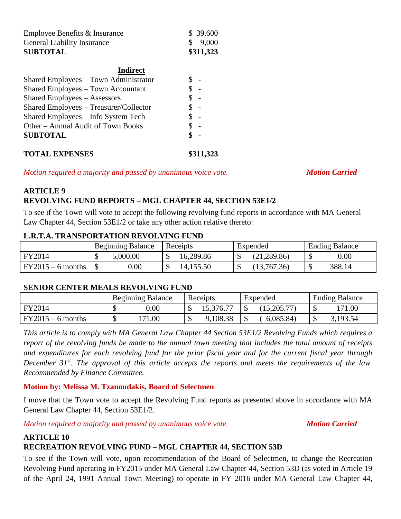| <b>SUBTOTAL</b>                    | \$311,323 |
|------------------------------------|-----------|
| <b>General Liability Insurance</b> | \$9,000   |
| Employee Benefits & Insurance      | \$39,600  |

| <b>Indirect</b>                           |                |
|-------------------------------------------|----------------|
| Shared Employees – Town Administrator     |                |
| <b>Shared Employees – Town Accountant</b> |                |
| <b>Shared Employees – Assessors</b>       |                |
| Shared Employees - Treasurer/Collector    |                |
| Shared Employees – Info System Tech       | $\overline{a}$ |
| Other – Annual Audit of Town Books        |                |
| <b>SUBTOTAL</b>                           | \$             |
| <b>TOTAL EXPENSES</b>                     | \$311,323      |

*Motion required a majority and passed by unanimous voice vote. Motion Carried* 

## **ARTICLE 9**

#### **REVOLVING FUND REPORTS – MGL CHAPTER 44, SECTION 53E1/2**

To see if the Town will vote to accept the following revolving fund reports in accordance with MA General Law Chapter 44, Section 53E1/2 or take any other action relative thereto:

#### **L.R.T.A. TRANSPORTATION REVOLVING FUND**

|                   | <b>Beginning Balance</b> | Receipts        | Expended     | <b>Ending Balance</b> |
|-------------------|--------------------------|-----------------|--------------|-----------------------|
| FY2014            | 5,000.00                 | 16,289.86<br>ΔD | (21, 289.86) | $0.00\,$              |
| $FY2015-6$ months | 0.00                     | 14,155.50<br>ΔD | (13,767.36)  | 388.14                |

#### **SENIOR CENTER MEALS REVOLVING FUND**

|                     | <b>Beginning Balance</b> | Receipts  | Expended | <b>Ending Balance</b> |
|---------------------|--------------------------|-----------|----------|-----------------------|
| FY2014              | $0.00\,$                 | 15,376.77 |          | 1.00                  |
| $FY2015 - 6$ months | '71.00                   | 9,108.38  | 6,085.84 | 3,193.54<br>◡         |

*This article is to comply with MA General Law Chapter 44 Section 53E1/2 Revolving Funds which requires a report of the revolving funds be made to the annual town meeting that includes the total amount of receipts and expenditures for each revolving fund for the prior fiscal year and for the current fiscal year through December 31st. The approval of this article accepts the reports and meets the requirements of the law. Recommended by Finance Committee.*

#### **Motion by: Melissa M. Tzanoudakis, Board of Selectmen**

I move that the Town vote to accept the Revolving Fund reports as presented above in accordance with MA General Law Chapter 44, Section 53E1/2.

*Motion required a majority and passed by unanimous voice vote. Motion Carried* 

#### **ARTICLE 10**

#### **RECREATION REVOLVING FUND – MGL CHAPTER 44, SECTION 53D**

To see if the Town will vote, upon recommendation of the Board of Selectmen, to change the Recreation Revolving Fund operating in FY2015 under MA General Law Chapter 44, Section 53D (as voted in Article 19 of the April 24, 1991 Annual Town Meeting) to operate in FY 2016 under MA General Law Chapter 44,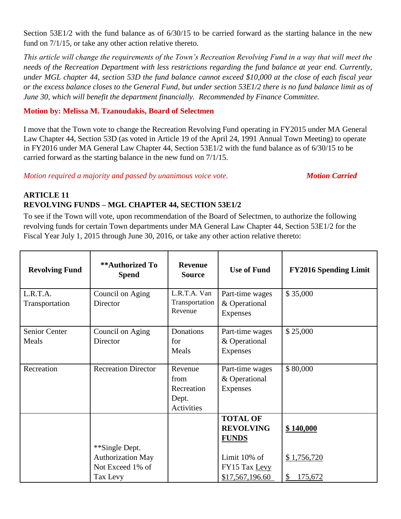Section 53E1/2 with the fund balance as of  $6/30/15$  to be carried forward as the starting balance in the new fund on 7/1/15, or take any other action relative thereto.

*This article will change the requirements of the Town's Recreation Revolving Fund in a way that will meet the needs of the Recreation Department with less restrictions regarding the fund balance at year end. Currently, under MGL chapter 44, section 53D the fund balance cannot exceed \$10,000 at the close of each fiscal year or the excess balance closes to the General Fund, but under section 53E1/2 there is no fund balance limit as of June 30, which will benefit the department financially. Recommended by Finance Committee.*

#### **Motion by: Melissa M. Tzanoudakis, Board of Selectmen**

I move that the Town vote to change the Recreation Revolving Fund operating in FY2015 under MA General Law Chapter 44, Section 53D (as voted in Article 19 of the April 24, 1991 Annual Town Meeting) to operate in FY2016 under MA General Law Chapter 44, Section 53E1/2 with the fund balance as of 6/30/15 to be carried forward as the starting balance in the new fund on 7/1/15.

*Motion required a majority and passed by unanimous voice vote. Motion Carried* 

### **ARTICLE 11 REVOLVING FUNDS – MGL CHAPTER 44, SECTION 53E1/2**

To see if the Town will vote, upon recommendation of the Board of Selectmen, to authorize the following revolving funds for certain Town departments under MA General Law Chapter 44, Section 53E1/2 for the Fiscal Year July 1, 2015 through June 30, 2016, or take any other action relative thereto:

| <b>Revolving Fund</b>         | **Authorized To<br><b>Spend</b>                                            | <b>Revenue</b><br><b>Source</b>                      | <b>Use of Fund</b>                                                                                      | <b>FY2016 Spending Limit</b>              |
|-------------------------------|----------------------------------------------------------------------------|------------------------------------------------------|---------------------------------------------------------------------------------------------------------|-------------------------------------------|
| L.R.T.A.<br>Transportation    | Council on Aging<br>Director                                               | L.R.T.A. Van<br>Transportation<br>Revenue            | Part-time wages<br>& Operational<br>Expenses                                                            | \$35,000                                  |
| <b>Senior Center</b><br>Meals | Council on Aging<br>Director                                               | Donations<br>for<br>Meals                            | Part-time wages<br>& Operational<br>Expenses                                                            | \$25,000                                  |
| Recreation                    | <b>Recreation Director</b>                                                 | Revenue<br>from<br>Recreation<br>Dept.<br>Activities | Part-time wages<br>& Operational<br><b>Expenses</b>                                                     | \$80,000                                  |
|                               | **Single Dept.<br><b>Authorization May</b><br>Not Exceed 1% of<br>Tax Levy |                                                      | <b>TOTAL OF</b><br><b>REVOLVING</b><br><b>FUNDS</b><br>Limit 10% of<br>FY15 Tax Levy<br>\$17,567,196.60 | \$140,000<br>\$1,756,720<br>\$<br>175,672 |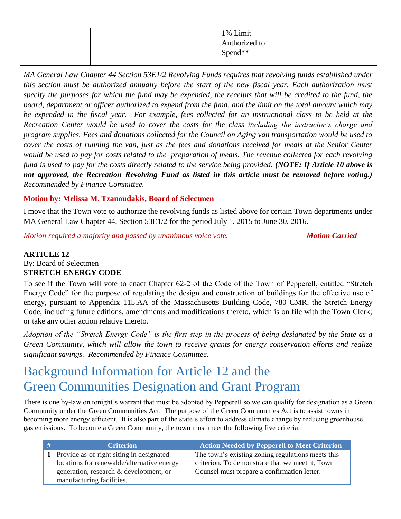|  |  | $1\%$ Limit $-$<br>Authorized to<br>$Spend**$ |  |
|--|--|-----------------------------------------------|--|
|  |  |                                               |  |

*MA General Law Chapter 44 Section 53E1/2 Revolving Funds requires that revolving funds established under this section must be authorized annually before the start of the new fiscal year. Each authorization must specify the purposes for which the fund may be expended, the receipts that will be credited to the fund, the board, department or officer authorized to expend from the fund, and the limit on the total amount which may be expended in the fiscal year. For example, fees collected for an instructional class to be held at the Recreation Center would be used to cover the costs for the class including the instructor's charge and program supplies. Fees and donations collected for the Council on Aging van transportation would be used to cover the costs of running the van, just as the fees and donations received for meals at the Senior Center would be used to pay for costs related to the preparation of meals. The revenue collected for each revolving fund is used to pay for the costs directly related to the service being provided. (NOTE: If Article 10 above is not approved, the Recreation Revolving Fund as listed in this article must be removed before voting.) Recommended by Finance Committee.*

### **Motion by: Melissa M. Tzanoudakis, Board of Selectmen**

I move that the Town vote to authorize the revolving funds as listed above for certain Town departments under MA General Law Chapter 44, Section 53E1/2 for the period July 1, 2015 to June 30, 2016.

*Motion required a majority and passed by unanimous voice vote. Motion Carried* 

#### **ARTICLE 12** By: Board of Selectmen **STRETCH ENERGY CODE**

To see if the Town will vote to enact Chapter 62-2 of the Code of the Town of Pepperell, entitled "Stretch Energy Code" for the purpose of regulating the design and construction of buildings for the effective use of energy, pursuant to Appendix 115.AA of the Massachusetts Building Code, 780 CMR, the Stretch Energy Code, including future editions, amendments and modifications thereto, which is on file with the Town Clerk; or take any other action relative thereto.

*Adoption of the "Stretch Energy Code" is the first step in the process of being designated by the State as a Green Community, which will allow the town to receive grants for energy conservation efforts and realize significant savings. Recommended by Finance Committee.*

# Background Information for Article 12 and the Green Communities Designation and Grant Program

There is one by-law on tonight's warrant that must be adopted by Pepperell so we can qualify for designation as a Green Community under the Green Communities Act. The purpose of the Green Communities Act is to assist towns in becoming more energy efficient. It is also part of the state's effort to address climate change by reducing greenhouse gas emissions. To become a Green Community, the town must meet the following five criteria:

| <b>Criterion</b>                           | <b>Action Needed by Pepperell to Meet Criterion</b> |
|--------------------------------------------|-----------------------------------------------------|
| 1 Provide as-of-right siting in designated | The town's existing zoning regulations meets this   |
| locations for renewable/alternative energy | criterion. To demonstrate that we meet it, Town     |
| generation, research & development, or     | Counsel must prepare a confirmation letter.         |
| manufacturing facilities.                  |                                                     |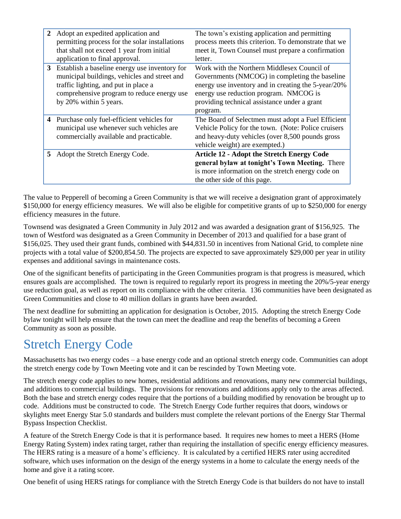| 2 | Adopt an expedited application and             | The town's existing application and permitting       |
|---|------------------------------------------------|------------------------------------------------------|
|   | permitting process for the solar installations | process meets this criterion. To demonstrate that we |
|   | that shall not exceed 1 year from initial      | meet it, Town Counsel must prepare a confirmation    |
|   | application to final approval.                 | letter.                                              |
| 3 | Establish a baseline energy use inventory for  | Work with the Northern Middlesex Council of          |
|   | municipal buildings, vehicles and street and   | Governments (NMCOG) in completing the baseline       |
|   | traffic lighting, and put in place a           | energy use inventory and in creating the 5-year/20%  |
|   | comprehensive program to reduce energy use     | energy use reduction program. NMCOG is               |
|   | by 20% within 5 years.                         | providing technical assistance under a grant         |
|   |                                                | program.                                             |
| 4 | Purchase only fuel-efficient vehicles for      | The Board of Selectmen must adopt a Fuel Efficient   |
|   | municipal use whenever such vehicles are       | Vehicle Policy for the town. (Note: Police cruisers  |
|   | commercially available and practicable.        | and heavy-duty vehicles (over 8,500 pounds gross     |
|   |                                                | vehicle weight) are exempted.)                       |
| 5 | Adopt the Stretch Energy Code.                 | <b>Article 12 - Adopt the Stretch Energy Code</b>    |
|   |                                                | general bylaw at tonight's Town Meeting. There       |
|   |                                                | is more information on the stretch energy code on    |
|   |                                                | the other side of this page.                         |

The value to Pepperell of becoming a Green Community is that we will receive a designation grant of approximately \$150,000 for energy efficiency measures. We will also be eligible for competitive grants of up to \$250,000 for energy efficiency measures in the future.

Townsend was designated a Green Community in July 2012 and was awarded a designation grant of \$156,925. The town of Westford was designated as a Green Community in December of 2013 and qualified for a base grant of \$156,025. They used their grant funds, combined with \$44,831.50 in incentives from National Grid, to complete nine projects with a total value of \$200,854.50. The projects are expected to save approximately \$29,000 per year in utility expenses and additional savings in maintenance costs.

One of the significant benefits of participating in the Green Communities program is that progress is measured, which ensures goals are accomplished. The town is required to regularly report its progress in meeting the 20%/5-year energy use reduction goal, as well as report on its compliance with the other criteria. 136 communities have been designated as Green Communities and close to 40 million dollars in grants have been awarded.

The next deadline for submitting an application for designation is October, 2015. Adopting the stretch Energy Code bylaw tonight will help ensure that the town can meet the deadline and reap the benefits of becoming a Green Community as soon as possible.

# Stretch Energy Code

Massachusetts has two energy codes – a base energy code and an optional stretch energy code. Communities can adopt the stretch energy code by Town Meeting vote and it can be rescinded by Town Meeting vote.

The stretch energy code applies to new homes, residential additions and renovations, many new commercial buildings, and additions to commercial buildings. The provisions for renovations and additions apply only to the areas affected. Both the base and stretch energy codes require that the portions of a building modified by renovation be brought up to code. Additions must be constructed to code. The Stretch Energy Code further requires that doors, windows or skylights meet Energy Star 5.0 standards and builders must complete the relevant portions of the Energy Star Thermal Bypass Inspection Checklist.

A feature of the Stretch Energy Code is that it is performance based. It requires new homes to meet a HERS (Home Energy Rating System) index rating target, rather than requiring the installation of specific energy efficiency measures. The HERS rating is a measure of a home's efficiency. It is calculated by a certified HERS rater using accredited software, which uses information on the design of the energy systems in a home to calculate the energy needs of the home and give it a rating score.

One benefit of using HERS ratings for compliance with the Stretch Energy Code is that builders do not have to install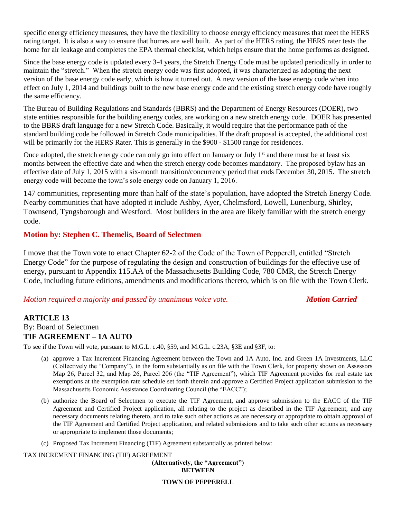specific energy efficiency measures, they have the flexibility to choose energy efficiency measures that meet the HERS rating target. It is also a way to ensure that homes are well built. As part of the HERS rating, the HERS rater tests the home for air leakage and completes the EPA thermal checklist, which helps ensure that the home performs as designed.

Since the base energy code is updated every 3-4 years, the Stretch Energy Code must be updated periodically in order to maintain the "stretch." When the stretch energy code was first adopted, it was characterized as adopting the next version of the base energy code early, which is how it turned out. A new version of the base energy code when into effect on July 1, 2014 and buildings built to the new base energy code and the existing stretch energy code have roughly the same efficiency.

The Bureau of Building Regulations and Standards (BBRS) and the Department of Energy Resources (DOER), two state entities responsible for the building energy codes, are working on a new stretch energy code. DOER has presented to the BBRS draft language for a new Stretch Code. Basically, it would require that the performance path of the standard building code be followed in Stretch Code municipalities. If the draft proposal is accepted, the additional cost will be primarily for the HERS Rater. This is generally in the \$900 - \$1500 range for residences.

Once adopted, the stretch energy code can only go into effect on January or July 1<sup>st</sup> and there must be at least six months between the effective date and when the stretch energy code becomes mandatory. The proposed bylaw has an effective date of July 1, 2015 with a six-month transition/concurrency period that ends December 30, 2015. The stretch energy code will become the town's sole energy code on January 1, 2016.

147 communities, representing more than half of the state's population, have adopted the Stretch Energy Code. Nearby communities that have adopted it include Ashby, Ayer, Chelmsford, Lowell, Lunenburg, Shirley, Townsend, Tyngsborough and Westford. Most builders in the area are likely familiar with the stretch energy code.

#### **Motion by: Stephen C. Themelis, Board of Selectmen**

I move that the Town vote to enact Chapter 62-2 of the Code of the Town of Pepperell, entitled "Stretch Energy Code" for the purpose of regulating the design and construction of buildings for the effective use of energy, pursuant to Appendix 115.AA of the Massachusetts Building Code, 780 CMR, the Stretch Energy Code, including future editions, amendments and modifications thereto, which is on file with the Town Clerk.

#### *Motion required a majority and passed by unanimous voice vote. Motion Carried*

### **ARTICLE 13** By: Board of Selectmen

#### **TIF AGREEMENT – 1A AUTO**

To see if the Town will vote, pursuant to M.G.L. c.40, §59, and M.G.L. c.23A, §3E and §3F, to:

- (a) approve a Tax Increment Financing Agreement between the Town and 1A Auto, Inc. and Green 1A Investments, LLC (Collectively the "Company"), in the form substantially as on file with the Town Clerk, for property shown on Assessors Map 26, Parcel 32, and Map 26, Parcel 206 (the "TIF Agreement"), which TIF Agreement provides for real estate tax exemptions at the exemption rate schedule set forth therein and approve a Certified Project application submission to the Massachusetts Economic Assistance Coordinating Council (the "EACC");
- (b) authorize the Board of Selectmen to execute the TIF Agreement, and approve submission to the EACC of the TIF Agreement and Certified Project application, all relating to the project as described in the TIF Agreement, and any necessary documents relating thereto, and to take such other actions as are necessary or appropriate to obtain approval of the TIF Agreement and Certified Project application, and related submissions and to take such other actions as necessary or appropriate to implement those documents;
- (c) Proposed Tax Increment Financing (TIF) Agreement substantially as printed below:

TAX INCREMENT FINANCING (TIF) AGREEMENT

**(Alternatively, the "Agreement") BETWEEN**

#### **TOWN OF PEPPERELL**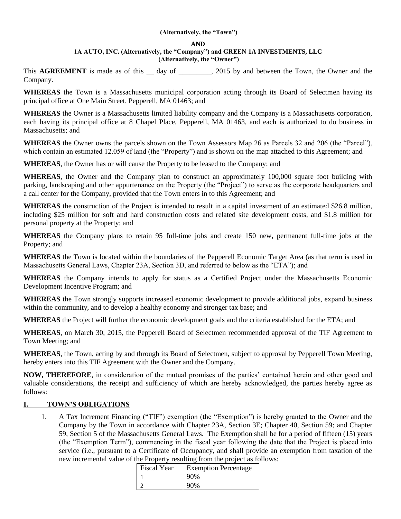#### **(Alternatively, the "Town")**

#### **AND**

#### **1A AUTO, INC. (Alternatively, the "Company") and GREEN 1A INVESTMENTS, LLC (Alternatively, the "Owner")**

This **AGREEMENT** is made as of this <u>day</u> of <u>come and</u>, 2015 by and between the Town, the Owner and the Company.

**WHEREAS** the Town is a Massachusetts municipal corporation acting through its Board of Selectmen having its principal office at One Main Street, Pepperell, MA 01463; and

**WHEREAS** the Owner is a Massachusetts limited liability company and the Company is a Massachusetts corporation, each having its principal office at 8 Chapel Place, Pepperell, MA 01463, and each is authorized to do business in Massachusetts; and

**WHEREAS** the Owner owns the parcels shown on the Town Assessors Map 26 as Parcels 32 and 206 (the "Parcel"), which contain an estimated 12.059 of land (the "Property") and is shown on the map attached to this Agreement; and

**WHEREAS**, the Owner has or will cause the Property to be leased to the Company; and

**WHEREAS**, the Owner and the Company plan to construct an approximately 100,000 square foot building with parking, landscaping and other appurtenance on the Property (the "Project") to serve as the corporate headquarters and a call center for the Company, provided that the Town enters in to this Agreement; and

**WHEREAS** the construction of the Project is intended to result in a capital investment of an estimated \$26.8 million, including \$25 million for soft and hard construction costs and related site development costs, and \$1.8 million for personal property at the Property; and

**WHEREAS** the Company plans to retain 95 full-time jobs and create 150 new, permanent full-time jobs at the Property; and

**WHEREAS** the Town is located within the boundaries of the Pepperell Economic Target Area (as that term is used in Massachusetts General Laws, Chapter 23A, Section 3D, and referred to below as the "ETA"); and

**WHEREAS** the Company intends to apply for status as a Certified Project under the Massachusetts Economic Development Incentive Program; and

**WHEREAS** the Town strongly supports increased economic development to provide additional jobs, expand business within the community, and to develop a healthy economy and stronger tax base; and

**WHEREAS** the Project will further the economic development goals and the criteria established for the ETA; and

**WHEREAS**, on March 30, 2015, the Pepperell Board of Selectmen recommended approval of the TIF Agreement to Town Meeting; and

**WHEREAS**, the Town, acting by and through its Board of Selectmen, subject to approval by Pepperell Town Meeting, hereby enters into this TIF Agreement with the Owner and the Company.

**NOW, THEREFORE**, in consideration of the mutual promises of the parties' contained herein and other good and valuable considerations, the receipt and sufficiency of which are hereby acknowledged, the parties hereby agree as follows:

#### **I. TOWN'S OBLIGATIONS**

1. A Tax Increment Financing ("TIF") exemption (the "Exemption") is hereby granted to the Owner and the Company by the Town in accordance with Chapter 23A, Section 3E; Chapter 40, Section 59; and Chapter 59, Section 5 of the Massachusetts General Laws. The Exemption shall be for a period of fifteen (15) years (the "Exemption Term"), commencing in the fiscal year following the date that the Project is placed into service (i.e., pursuant to a Certificate of Occupancy, and shall provide an exemption from taxation of the new incremental value of the Property resulting from the project as follows:

| Fiscal Year | <b>Exemption Percentage</b> |
|-------------|-----------------------------|
|             |                             |
|             |                             |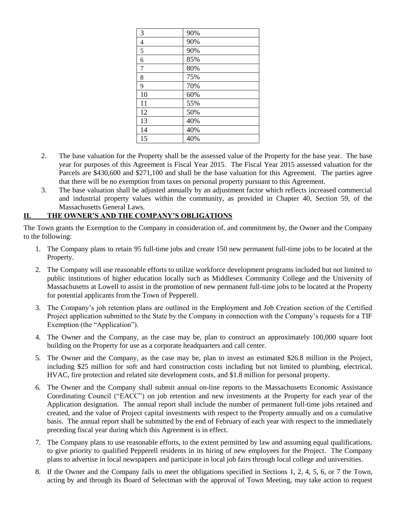| 3              | 90% |
|----------------|-----|
| $\overline{4}$ | 90% |
| 5              | 90% |
| 6              | 85% |
| 7              | 80% |
| 8              | 75% |
| 9              | 70% |
| 10             | 60% |
| 11             | 55% |
| 12             | 50% |
| 13             | 40% |
| 14             | 40% |
| 15             | 40% |

- 2. The base valuation for the Property shall be the assessed value of the Property for the base year. The base year for purposes of this Agreement is Fiscal Year 2015. The Fiscal Year 2015 assessed valuation for the Parcels are \$430,600 and \$271,100 and shall be the base valuation for this Agreement. The parties agree that there will be no exemption from taxes on personal property pursuant to this Agreement.
- 3. The base valuation shall be adjusted annually by an adjustment factor which reflects increased commercial and industrial property values within the community, as provided in Chapter 40, Section 59, of the Massachusetts General Laws.

#### **II. THE OWNER'S AND THE COMPANY'S OBLIGATIONS**

The Town grants the Exemption to the Company in consideration of, and commitment by, the Owner and the Company to the following:

- 1. The Company plans to retain 95 full-time jobs and create 150 new permanent full-time jobs to be located at the Property.
- 2. The Company will use reasonable efforts to utilize workforce development programs included but not limited to public institutions of higher education locally such as Middlesex Community College and the University of Massachusetts at Lowell to assist in the promotion of new permanent full-time jobs to be located at the Property for potential applicants from the Town of Pepperell.
- 3. The Company's job retention plans are outlined in the Employment and Job Creation section of the Certified Project application submitted to the State by the Company in connection with the Company's requests for a TIF Exemption (the "Application").
- 4. The Owner and the Company, as the case may be, plan to construct an approximately 100,000 square foot building on the Property for use as a corporate headquarters and call center.
- 5. The Owner and the Company, as the case may be, plan to invest an estimated \$26.8 million in the Project, including \$25 million for soft and hard construction costs including but not limited to plumbing, electrical, HVAC, fire protection and related site development costs, and \$1.8 million for personal property.
- 6. The Owner and the Company shall submit annual on-line reports to the Massachusetts Economic Assistance Coordinating Council ("EACC") on job retention and new investments at the Property for each year of the Application designation. The annual report shall include the number of permanent full-time jobs retained and created, and the value of Project capital investments with respect to the Property annually and on a cumulative basis. The annual report shall be submitted by the end of February of each year with respect to the immediately preceding fiscal year during which this Agreement is in effect.
- 7. The Company plans to use reasonable efforts, to the extent permitted by law and assuming equal qualifications, to give priority to qualified Pepperell residents in its hiring of new employees for the Project. The Company plans to advertise in local newspapers and participate in local job fairs through local college and universities.
- 8. If the Owner and the Company fails to meet the obligations specified in Sections 1, 2, 4, 5, 6, or 7 the Town, acting by and through its Board of Selectman with the approval of Town Meeting, may take action to request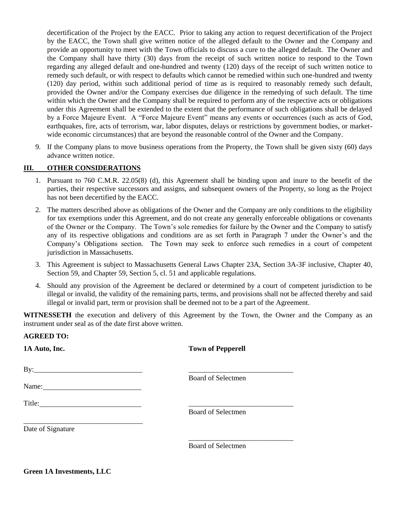decertification of the Project by the EACC. Prior to taking any action to request decertification of the Project by the EACC, the Town shall give written notice of the alleged default to the Owner and the Company and provide an opportunity to meet with the Town officials to discuss a cure to the alleged default. The Owner and the Company shall have thirty (30) days from the receipt of such written notice to respond to the Town regarding any alleged default and one-hundred and twenty (120) days of the receipt of such written notice to remedy such default, or with respect to defaults which cannot be remedied within such one-hundred and twenty (120) day period, within such additional period of time as is required to reasonably remedy such default, provided the Owner and/or the Company exercises due diligence in the remedying of such default. The time within which the Owner and the Company shall be required to perform any of the respective acts or obligations under this Agreement shall be extended to the extent that the performance of such obligations shall be delayed by a Force Majeure Event. A "Force Majeure Event" means any events or occurrences (such as acts of God, earthquakes, fire, acts of terrorism, war, labor disputes, delays or restrictions by government bodies, or marketwide economic circumstances) that are beyond the reasonable control of the Owner and the Company.

9. If the Company plans to move business operations from the Property, the Town shall be given sixty (60) days advance written notice.

#### **III. OTHER CONSIDERATIONS**

- 1. Pursuant to 760 C.M.R. 22.05(8) (d), this Agreement shall be binding upon and inure to the benefit of the parties, their respective successors and assigns, and subsequent owners of the Property, so long as the Project has not been decertified by the EACC.
- 2. The matters described above as obligations of the Owner and the Company are only conditions to the eligibility for tax exemptions under this Agreement, and do not create any generally enforceable obligations or covenants of the Owner or the Company. The Town's sole remedies for failure by the Owner and the Company to satisfy any of its respective obligations and conditions are as set forth in Paragraph 7 under the Owner's and the Company's Obligations section. The Town may seek to enforce such remedies in a court of competent jurisdiction in Massachusetts.
- 3. This Agreement is subject to Massachusetts General Laws Chapter 23A, Section 3A-3F inclusive, Chapter 40, Section 59, and Chapter 59, Section 5, cl. 51 and applicable regulations.
- 4. Should any provision of the Agreement be declared or determined by a court of competent jurisdiction to be illegal or invalid, the validity of the remaining parts, terms, and provisions shall not be affected thereby and said illegal or invalid part, term or provision shall be deemed not to be a part of the Agreement.

**WITNESSETH** the execution and delivery of this Agreement by the Town, the Owner and the Company as an instrument under seal as of the date first above written.

| 1A Auto, Inc.     | <b>Town of Pepperell</b>  |
|-------------------|---------------------------|
|                   |                           |
|                   | Board of Selectmen        |
|                   | <b>Board of Selectmen</b> |
| Date of Signature |                           |
|                   | <b>Board of Selectmen</b> |

**AGREED TO:**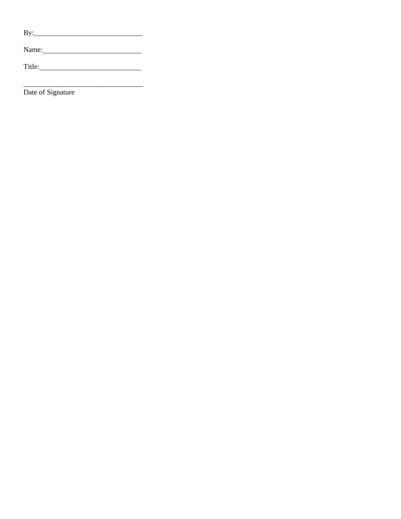Name: Name and Allen and Allen and Allen and Allen and Allen and Allen and Allen and Allen and Allen and Allen

Date of Signature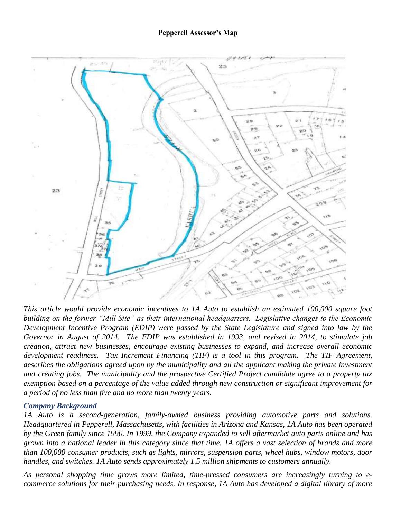

*This article would provide economic incentives to 1A Auto to establish an estimated 100,000 square foot building on the former "Mill Site" as their international headquarters. Legislative changes to the Economic Development Incentive Program (EDIP) were passed by the State Legislature and signed into law by the Governor in August of 2014. The EDIP was established in 1993, and revised in 2014, to stimulate job creation, attract new businesses, encourage existing businesses to expand, and increase overall economic development readiness. Tax Increment Financing (TIF) is a tool in this program. The TIF Agreement,*  describes the obligations agreed upon by the municipality and all the applicant making the private investment *and creating jobs. The municipality and the prospective Certified Project candidate agree to a property tax exemption based on a percentage of the value added through new construction or significant improvement for a period of no less than five and no more than twenty years.*

#### *Company Background*

*1A Auto is a second-generation, family-owned business providing automotive parts and solutions. Headquartered in Pepperell, Massachusetts, with facilities in Arizona and Kansas, 1A Auto has been operated by the Green family since 1990. In 1999, the Company expanded to sell aftermarket auto parts online and has grown into a national leader in this category since that time. 1A offers a vast selection of brands and more than 100,000 consumer products, such as lights, mirrors, suspension parts, wheel hubs, window motors, door handles, and switches. 1A Auto sends approximately 1.5 million shipments to customers annually.* 

*As personal shopping time grows more limited, time-pressed consumers are increasingly turning to ecommerce solutions for their purchasing needs. In response, 1A Auto has developed a digital library of more*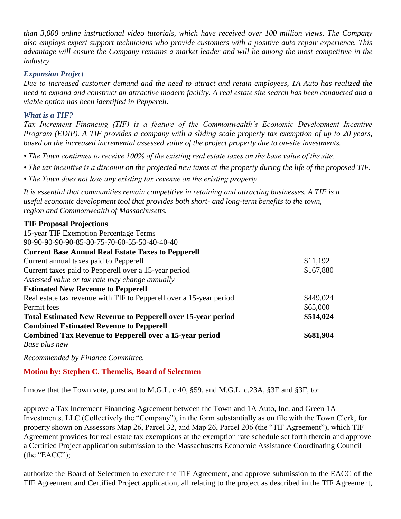*than 3,000 online instructional video tutorials, which have received over 100 million views. The Company also employs expert support technicians who provide customers with a positive auto repair experience. This advantage will ensure the Company remains a market leader and will be among the most competitive in the industry.* 

#### *Expansion Project*

*Due to increased customer demand and the need to attract and retain employees, 1A Auto has realized the need to expand and construct an attractive modern facility. A real estate site search has been conducted and a viable option has been identified in Pepperell.* 

#### *What is a TIF?*

*Tax Increment Financing (TIF) is a feature of the Commonwealth's Economic Development Incentive Program (EDIP). A TIF provides a company with a sliding scale property tax exemption of up to 20 years, based on the increased incremental assessed value of the project property due to on-site investments.*

- *The Town continues to receive 100% of the existing real estate taxes on the base value of the site.*
- *The tax incentive is a discount on the projected new taxes at the property during the life of the proposed TIF.*
- *The Town does not lose any existing tax revenue on the existing property.*

*It is essential that communities remain competitive in retaining and attracting businesses. A TIF is a useful economic development tool that provides both short- and long-term benefits to the town, region and Commonwealth of Massachusetts.* 

#### **TIF Proposal Projections**

15-year TIF Exemption Percentage Terms 90-90-90-90-90-85-80-75-70-60-55-50-40-40-40 **Current Base Annual Real Estate Taxes to Pepperell**  Current annual taxes paid to Pepperell  $$11,192$ Current taxes paid to Pepperell over a 15-year period *Assessed value or tax rate may change annually*  \$167,880 **Estimated New Revenue to Pepperell**  Real estate tax revenue with TIF to Pepperell over a 15-year period \$449,024 Permit fees \$65,000 **Total Estimated New Revenue to Pepperell over 15-year period \$514,024 Combined Estimated Revenue to Pepperell Combined Tax Revenue to Pepperell over a 15-year period**  *Base plus new*  **\$681,904** 

*Recommended by Finance Committee.*

**Motion by: Stephen C. Themelis, Board of Selectmen**

I move that the Town vote, pursuant to M.G.L. c.40, §59, and M.G.L. c.23A, §3E and §3F, to:

approve a Tax Increment Financing Agreement between the Town and 1A Auto, Inc. and Green 1A Investments, LLC (Collectively the "Company"), in the form substantially as on file with the Town Clerk, for property shown on Assessors Map 26, Parcel 32, and Map 26, Parcel 206 (the "TIF Agreement"), which TIF Agreement provides for real estate tax exemptions at the exemption rate schedule set forth therein and approve a Certified Project application submission to the Massachusetts Economic Assistance Coordinating Council (the "EACC");

authorize the Board of Selectmen to execute the TIF Agreement, and approve submission to the EACC of the TIF Agreement and Certified Project application, all relating to the project as described in the TIF Agreement,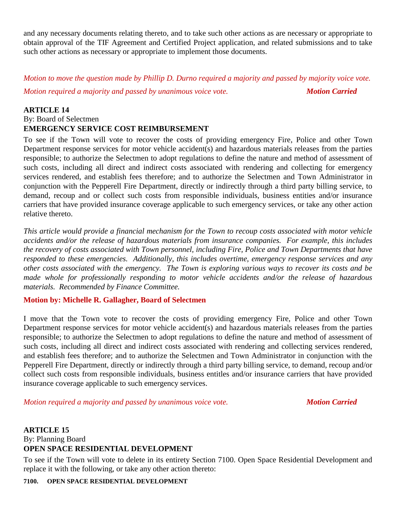and any necessary documents relating thereto, and to take such other actions as are necessary or appropriate to obtain approval of the TIF Agreement and Certified Project application, and related submissions and to take such other actions as necessary or appropriate to implement those documents.

*Motion to move the question made by Phillip D. Durno required a majority and passed by majority voice vote.*

*Motion required a majority and passed by unanimous voice vote. Motion Carried* 

#### **ARTICLE 14**

#### By: Board of Selectmen **EMERGENCY SERVICE COST REIMBURSEMENT**

To see if the Town will vote to recover the costs of providing emergency Fire, Police and other Town Department response services for motor vehicle accident(s) and hazardous materials releases from the parties responsible; to authorize the Selectmen to adopt regulations to define the nature and method of assessment of such costs, including all direct and indirect costs associated with rendering and collecting for emergency services rendered, and establish fees therefore; and to authorize the Selectmen and Town Administrator in conjunction with the Pepperell Fire Department, directly or indirectly through a third party billing service, to demand, recoup and or collect such costs from responsible individuals, business entities and/or insurance carriers that have provided insurance coverage applicable to such emergency services, or take any other action relative thereto.

*This article would provide a financial mechanism for the Town to recoup costs associated with motor vehicle accidents and/or the release of hazardous materials from insurance companies. For example, this includes the recovery of costs associated with Town personnel, including Fire, Police and Town Departments that have responded to these emergencies. Additionally, this includes overtime, emergency response services and any other costs associated with the emergency. The Town is exploring various ways to recover its costs and be made whole for professionally responding to motor vehicle accidents and/or the release of hazardous materials. Recommended by Finance Committee.*

#### **Motion by: Michelle R. Gallagher, Board of Selectmen**

I move that the Town vote to recover the costs of providing emergency Fire, Police and other Town Department response services for motor vehicle accident(s) and hazardous materials releases from the parties responsible; to authorize the Selectmen to adopt regulations to define the nature and method of assessment of such costs, including all direct and indirect costs associated with rendering and collecting services rendered, and establish fees therefore; and to authorize the Selectmen and Town Administrator in conjunction with the Pepperell Fire Department, directly or indirectly through a third party billing service, to demand, recoup and/or collect such costs from responsible individuals, business entitles and/or insurance carriers that have provided insurance coverage applicable to such emergency services.

*Motion required a majority and passed by unanimous voice vote. Motion Carried* 

#### **ARTICLE 15** By: Planning Board **OPEN SPACE RESIDENTIAL DEVELOPMENT**

To see if the Town will vote to delete in its entirety Section 7100. Open Space Residential Development and replace it with the following, or take any other action thereto:

#### **7100. OPEN SPACE RESIDENTIAL DEVELOPMENT**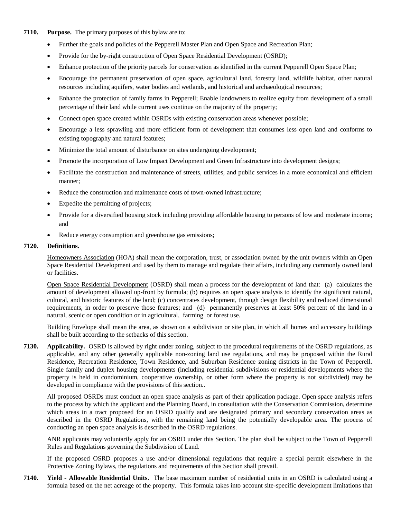#### **7110. Purpose.** The primary purposes of this bylaw are to:

- Further the goals and policies of the Pepperell Master Plan and Open Space and Recreation Plan;
- Provide for the by-right construction of Open Space Residential Development (OSRD);
- Enhance protection of the priority parcels for conservation as identified in the current Pepperell Open Space Plan;
- Encourage the permanent preservation of open space, agricultural land, forestry land, wildlife habitat, other natural resources including aquifers, water bodies and wetlands, and historical and archaeological resources;
- Enhance the protection of family farms in Pepperell; Enable landowners to realize equity from development of a small percentage of their land while current uses continue on the majority of the property;
- Connect open space created within OSRDs with existing conservation areas whenever possible;
- Encourage a less sprawling and more efficient form of development that consumes less open land and conforms to existing topography and natural features;
- Minimize the total amount of disturbance on sites undergoing development;
- Promote the incorporation of Low Impact Development and Green Infrastructure into development designs;
- Facilitate the construction and maintenance of streets, utilities, and public services in a more economical and efficient manner;
- Reduce the construction and maintenance costs of town-owned infrastructure;
- Expedite the permitting of projects;
- Provide for a diversified housing stock including providing affordable housing to persons of low and moderate income; and
- Reduce energy consumption and greenhouse gas emissions;

#### **7120. Definitions.**

Homeowners Association (HOA) shall mean the corporation, trust, or association owned by the unit owners within an Open Space Residential Development and used by them to manage and regulate their affairs, including any commonly owned land or facilities.

Open Space Residential Development (OSRD) shall mean a process for the development of land that: (a) calculates the amount of development allowed up-front by formula; (b) requires an open space analysis to identify the significant natural, cultural, and historic features of the land; (c) concentrates development, through design flexibility and reduced dimensional requirements, in order to preserve those features; and (d) permanently preserves at least 50% percent of the land in a natural, scenic or open condition or in agricultural, farming or forest use.

Building Envelope shall mean the area, as shown on a subdivision or site plan, in which all homes and accessory buildings shall be built according to the setbacks of this section.

**7130. Applicability.** OSRD is allowed by right under zoning, subject to the procedural requirements of the OSRD regulations, as applicable, and any other generally applicable non-zoning land use regulations, and may be proposed within the Rural Residence, Recreation Residence, Town Residence, and Suburban Residence zoning districts in the Town of Pepperell. Single family and duplex housing developments (including residential subdivisions or residential developments where the property is held in condominium, cooperative ownership, or other form where the property is not subdivided) may be developed in compliance with the provisions of this section..

All proposed OSRDs must conduct an open space analysis as part of their application package. Open space analysis refers to the process by which the applicant and the Planning Board, in consultation with the Conservation Commission, determine which areas in a tract proposed for an OSRD qualify and are designated primary and secondary conservation areas as described in the OSRD Regulations, with the remaining land being the potentially developable area. The process of conducting an open space analysis is described in the OSRD regulations.

ANR applicants may voluntarily apply for an OSRD under this Section. The plan shall be subject to the Town of Pepperell Rules and Regulations governing the Subdivision of Land.

If the proposed OSRD proposes a use and/or dimensional regulations that require a special permit elsewhere in the Protective Zoning Bylaws, the regulations and requirements of this Section shall prevail.

**7140. Yield - Allowable Residential Units.** The base maximum number of residential units in an OSRD is calculated using a formula based on the net acreage of the property. This formula takes into account site-specific development limitations that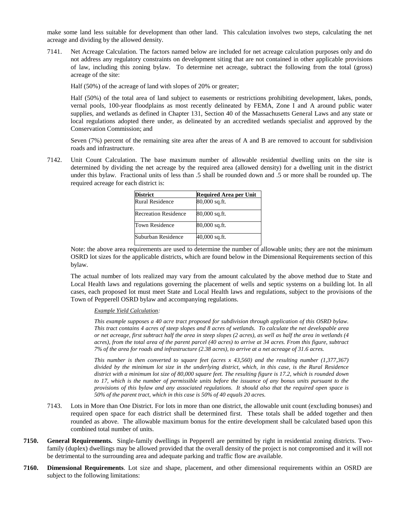make some land less suitable for development than other land. This calculation involves two steps, calculating the net acreage and dividing by the allowed density.

7141. Net Acreage Calculation. The factors named below are included for net acreage calculation purposes only and do not address any regulatory constraints on development siting that are not contained in other applicable provisions of law, including this zoning bylaw. To determine net acreage, subtract the following from the total (gross) acreage of the site:

Half (50%) of the acreage of land with slopes of 20% or greater;

Half (50%) of the total area of land subject to easements or restrictions prohibiting development, lakes, ponds, vernal pools, 100-year floodplains as most recently delineated by FEMA, Zone I and A around public water supplies, and wetlands as defined in Chapter 131, Section 40 of the Massachusetts General Laws and any state or local regulations adopted there under, as delineated by an accredited wetlands specialist and approved by the Conservation Commission; and

Seven (7%) percent of the remaining site area after the areas of A and B are removed to account for subdivision roads and infrastructure.

7142. Unit Count Calculation. The base maximum number of allowable residential dwelling units on the site is determined by dividing the net acreage by the required area (allowed density) for a dwelling unit in the district under this bylaw. Fractional units of less than .5 shall be rounded down and .5 or more shall be rounded up. The required acreage for each district is:

| <b>District</b>             | <b>Required Area per Unit</b> |  |  |
|-----------------------------|-------------------------------|--|--|
| Rural Residence             | 80,000 sq.ft.                 |  |  |
| <b>Recreation Residence</b> | 80,000 sq.ft.                 |  |  |
| Town Residence              | 80,000 sq.ft.                 |  |  |
| Suburban Residence          | 40,000 sq.ft.                 |  |  |

Note: the above area requirements are used to determine the number of allowable units; they are not the minimum OSRD lot sizes for the applicable districts, which are found below in the Dimensional Requirements section of this bylaw.

The actual number of lots realized may vary from the amount calculated by the above method due to State and Local Health laws and regulations governing the placement of wells and septic systems on a building lot. In all cases, each proposed lot must meet State and Local Health laws and regulations, subject to the provisions of the Town of Pepperell OSRD bylaw and accompanying regulations.

#### *Example Yield Calculation:*

*This example supposes a 40 acre tract proposed for subdivision through application of this OSRD bylaw. This tract contains 4 acres of steep slopes and 8 acres of wetlands. To calculate the net developable area or net acreage, first subtract half the area in steep slopes (2 acres), as well as half the area in wetlands (4 acres), from the total area of the parent parcel (40 acres) to arrive at 34 acres. From this figure, subtract 7% of the area for roads and infrastructure (2.38 acres), to arrive at a net acreage of 31.6 acres.* 

*This number is then converted to square feet (acres x 43,560) and the resulting number (1,377,367) divided by the minimum lot size in the underlying district, which, in this case, is the Rural Residence district with a minimum lot size of 80,000 square feet. The resulting figure is 17.2, which is rounded down to 17, which is the number of permissible units before the issuance of any bonus units pursuant to the provisions of this bylaw and any associated regulations. It should also that the required open space is 50% of the parent tract, which in this case is 50% of 40 equals 20 acres.* 

- 7143. Lots in More than One District. For lots in more than one district, the allowable unit count (excluding bonuses) and required open space for each district shall be determined first. These totals shall be added together and then rounded as above. The allowable maximum bonus for the entire development shall be calculated based upon this combined total number of units.
- **7150. General Requirements.** Single-family dwellings in Pepperell are permitted by right in residential zoning districts. Twofamily (duplex) dwellings may be allowed provided that the overall density of the project is not compromised and it will not be detrimental to the surrounding area and adequate parking and traffic flow are available.
- **7160. Dimensional Requirements**. Lot size and shape, placement, and other dimensional requirements within an OSRD are subject to the following limitations: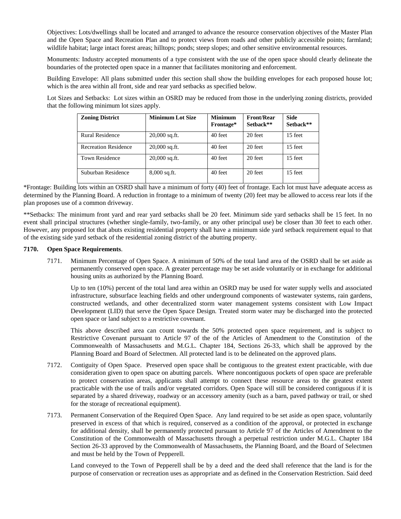Objectives: Lots/dwellings shall be located and arranged to advance the resource conservation objectives of the Master Plan and the Open Space and Recreation Plan and to protect views from roads and other publicly accessible points; farmland; wildlife habitat; large intact forest areas; hilltops; ponds; steep slopes; and other sensitive environmental resources.

Monuments: Industry accepted monuments of a type consistent with the use of the open space should clearly delineate the boundaries of the protected open space in a manner that facilitates monitoring and enforcement.

Building Envelope: All plans submitted under this section shall show the building envelopes for each proposed house lot; which is the area within all front, side and rear yard setbacks as specified below.

Lot Sizes and Setbacks: Lot sizes within an OSRD may be reduced from those in the underlying zoning districts, provided that the following minimum lot sizes apply.

| <b>Zoning District</b>      | <b>Minimum Lot Size</b> | <b>Minimum</b><br>Frontage* | <b>Front/Rear</b><br>Sethack** | Side<br>Sethack** |
|-----------------------------|-------------------------|-----------------------------|--------------------------------|-------------------|
| Rural Residence             | $20,000$ sq.ft.         | 40 feet                     | 20 feet                        | 15 feet           |
| <b>Recreation Residence</b> | $20,000$ sq.ft.         | 40 feet                     | 20 feet                        | 15 feet           |
| <b>Town Residence</b>       | $20,000$ sq.ft.         | 40 feet                     | 20 feet                        | 15 feet           |
| Suburban Residence          | $8,000$ sq.ft.          | 40 feet                     | 20 feet                        | 15 feet           |

\*Frontage: Building lots within an OSRD shall have a minimum of forty (40) feet of frontage. Each lot must have adequate access as determined by the Planning Board. A reduction in frontage to a minimum of twenty (20) feet may be allowed to access rear lots if the plan proposes use of a common driveway.

\*\*Setbacks: The minimum front yard and rear yard setbacks shall be 20 feet. Minimum side yard setbacks shall be 15 feet. In no event shall principal structures (whether single-family, two-family, or any other principal use) be closer than 30 feet to each other. However, any proposed lot that abuts existing residential property shall have a minimum side yard setback requirement equal to that of the existing side yard setback of the residential zoning district of the abutting property.

#### **7170. Open Space Requirements**.

7171. Minimum Percentage of Open Space. A minimum of 50% of the total land area of the OSRD shall be set aside as permanently conserved open space. A greater percentage may be set aside voluntarily or in exchange for additional housing units as authorized by the Planning Board.

Up to ten (10%) percent of the total land area within an OSRD may be used for water supply wells and associated infrastructure, subsurface leaching fields and other underground components of wastewater systems, rain gardens, constructed wetlands, and other decentralized storm water management systems consistent with Low Impact Development (LID) that serve the Open Space Design. Treated storm water may be discharged into the protected open space or land subject to a restrictive covenant.

This above described area can count towards the 50% protected open space requirement, and is subject to Restrictive Covenant pursuant to Article 97 of the of the Articles of Amendment to the Constitution of the Commonwealth of Massachusetts and M.G.L. Chapter 184, Sections 26-33, which shall be approved by the Planning Board and Board of Selectmen. All protected land is to be delineated on the approved plans.

- 7172. Contiguity of Open Space. Preserved open space shall be contiguous to the greatest extent practicable, with due consideration given to open space on abutting parcels. Where noncontiguous pockets of open space are preferable to protect conservation areas, applicants shall attempt to connect these resource areas to the greatest extent practicable with the use of trails and/or vegetated corridors. Open Space will still be considered contiguous if it is separated by a shared driveway, roadway or an accessory amenity (such as a barn, paved pathway or trail, or shed for the storage of recreational equipment).
- 7173. Permanent Conservation of the Required Open Space. Any land required to be set aside as open space, voluntarily preserved in excess of that which is required, conserved as a condition of the approval, or protected in exchange for additional density, shall be permanently protected pursuant to Article 97 of the Articles of Amendment to the Constitution of the Commonwealth of Massachusetts through a perpetual restriction under M.G.L. Chapter 184 Section 26-33 approved by the Commonwealth of Massachusetts, the Planning Board, and the Board of Selectmen and must be held by the Town of Pepperell.

Land conveyed to the Town of Pepperell shall be by a deed and the deed shall reference that the land is for the purpose of conservation or recreation uses as appropriate and as defined in the Conservation Restriction. Said deed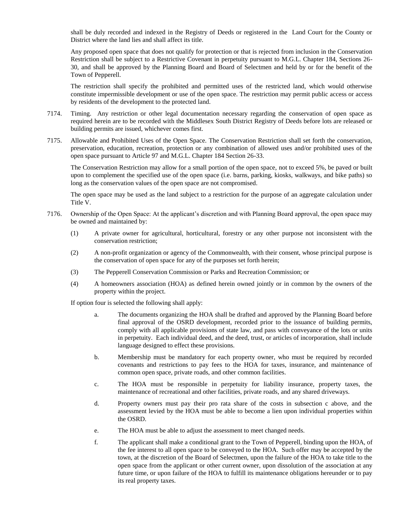shall be duly recorded and indexed in the Registry of Deeds or registered in the Land Court for the County or District where the land lies and shall affect its title.

Any proposed open space that does not qualify for protection or that is rejected from inclusion in the Conservation Restriction shall be subject to a Restrictive Covenant in perpetuity pursuant to M.G.L. Chapter 184, Sections 26- 30, and shall be approved by the Planning Board and Board of Selectmen and held by or for the benefit of the Town of Pepperell.

The restriction shall specify the prohibited and permitted uses of the restricted land, which would otherwise constitute impermissible development or use of the open space. The restriction may permit public access or access by residents of the development to the protected land.

- 7174. Timing. Any restriction or other legal documentation necessary regarding the conservation of open space as required herein are to be recorded with the Middlesex South District Registry of Deeds before lots are released or building permits are issued, whichever comes first.
- 7175. Allowable and Prohibited Uses of the Open Space. The Conservation Restriction shall set forth the conservation, preservation, education, recreation, protection or any combination of allowed uses and/or prohibited uses of the open space pursuant to Article 97 and M.G.L. Chapter 184 Section 26-33.

The Conservation Restriction may allow for a small portion of the open space, not to exceed 5%, be paved or built upon to complement the specified use of the open space (i.e. barns, parking, kiosks, walkways, and bike paths) so long as the conservation values of the open space are not compromised.

The open space may be used as the land subject to a restriction for the purpose of an aggregate calculation under Title V.

- 7176. Ownership of the Open Space: At the applicant's discretion and with Planning Board approval, the open space may be owned and maintained by:
	- (1) A private owner for agricultural, horticultural, forestry or any other purpose not inconsistent with the conservation restriction;
	- (2) A non-profit organization or agency of the Commonwealth, with their consent, whose principal purpose is the conservation of open space for any of the purposes set forth herein;
	- (3) The Pepperell Conservation Commission or Parks and Recreation Commission; or
	- (4) A homeowners association (HOA) as defined herein owned jointly or in common by the owners of the property within the project.

If option four is selected the following shall apply:

- a. The documents organizing the HOA shall be drafted and approved by the Planning Board before final approval of the OSRD development, recorded prior to the issuance of building permits, comply with all applicable provisions of state law, and pass with conveyance of the lots or units in perpetuity. Each individual deed, and the deed, trust, or articles of incorporation, shall include language designed to effect these provisions.
- b. Membership must be mandatory for each property owner, who must be required by recorded covenants and restrictions to pay fees to the HOA for taxes, insurance, and maintenance of common open space, private roads, and other common facilities.
- c. The HOA must be responsible in perpetuity for liability insurance, property taxes, the maintenance of recreational and other facilities, private roads, and any shared driveways.
- d. Property owners must pay their pro rata share of the costs in subsection c above, and the assessment levied by the HOA must be able to become a lien upon individual properties within the OSRD.
- e. The HOA must be able to adjust the assessment to meet changed needs.
- f. The applicant shall make a conditional grant to the Town of Pepperell, binding upon the HOA, of the fee interest to all open space to be conveyed to the HOA. Such offer may be accepted by the town, at the discretion of the Board of Selectmen, upon the failure of the HOA to take title to the open space from the applicant or other current owner, upon dissolution of the association at any future time, or upon failure of the HOA to fulfill its maintenance obligations hereunder or to pay its real property taxes.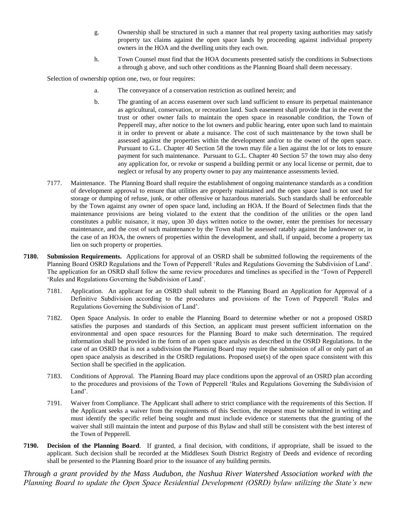- g. Ownership shall be structured in such a manner that real property taxing authorities may satisfy property tax claims against the open space lands by proceeding against individual property owners in the HOA and the dwelling units they each own.
- h. Town Counsel must find that the HOA documents presented satisfy the conditions in Subsections a through g above, and such other conditions as the Planning Board shall deem necessary.

Selection of ownership option one, two, or four requires:

- a. The conveyance of a conservation restriction as outlined herein; and
- b. The granting of an access easement over such land sufficient to ensure its perpetual maintenance as agricultural, conservation, or recreation land. Such easement shall provide that in the event the trust or other owner fails to maintain the open space in reasonable condition, the Town of Pepperell may, after notice to the lot owners and public hearing, enter upon such land to maintain it in order to prevent or abate a nuisance. The cost of such maintenance by the town shall be assessed against the properties within the development and/or to the owner of the open space. Pursuant to G.L. Chapter 40 Section 58 the town may file a lien against the lot or lots to ensure payment for such maintenance. Pursuant to G.L. Chapter 40 Section 57 the town may also deny any application for, or revoke or suspend a building permit or any local license or permit, due to neglect or refusal by any property owner to pay any maintenance assessments levied.
- 7177. Maintenance. The Planning Board shall require the establishment of ongoing maintenance standards as a condition of development approval to ensure that utilities are properly maintained and the open space land is not used for storage or dumping of refuse, junk, or other offensive or hazardous materials. Such standards shall be enforceable by the Town against any owner of open space land, including an HOA. If the Board of Selectmen finds that the maintenance provisions are being violated to the extent that the condition of the utilities or the open land constitutes a public nuisance, it may, upon 30 days written notice to the owner, enter the premises for necessary maintenance, and the cost of such maintenance by the Town shall be assessed ratably against the landowner or, in the case of an HOA, the owners of properties within the development, and shall, if unpaid, become a property tax lien on such property or properties.
- **7180. Submission Requirements.** Applications for approval of an OSRD shall be submitted following the requirements of the Planning Board OSRD Regulations and the Town of Pepperell 'Rules and Regulations Governing the Subdivision of Land'. The application for an OSRD shall follow the same review procedures and timelines as specified in the 'Town of Pepperell 'Rules and Regulations Governing the Subdivision of Land'.
	- 7181. Application. An applicant for an OSRD shall submit to the Planning Board an Application for Approval of a Definitive Subdivision according to the procedures and provisions of the Town of Pepperell 'Rules and Regulations Governing the Subdivision of Land'.
	- 7182. Open Space Analysis. In order to enable the Planning Board to determine whether or not a proposed OSRD satisfies the purposes and standards of this Section, an applicant must present sufficient information on the environmental and open space resources for the Planning Board to make such determination. The required information shall be provided in the form of an open space analysis as described in the OSRD Regulations. In the case of an OSRD that is not a subdivision the Planning Board may require the submission of all or only part of an open space analysis as described in the OSRD regulations. Proposed use(s) of the open space consistent with this Section shall be specified in the application.
	- 7183. Conditions of Approval. The Planning Board may place conditions upon the approval of an OSRD plan according to the procedures and provisions of the Town of Pepperell 'Rules and Regulations Governing the Subdivision of Land'.
	- 7191. Waiver from Compliance. The Applicant shall adhere to strict compliance with the requirements of this Section. If the Applicant seeks a waiver from the requirements of this Section, the request must be submitted in writing and must identify the specific relief being sought and must include evidence or statements that the granting of the waiver shall still maintain the intent and purpose of this Bylaw and shall still be consistent with the best interest of the Town of Pepperell.
- **7190. Decision of the Planning Board**. If granted, a final decision, with conditions, if appropriate, shall be issued to the applicant. Such decision shall be recorded at the Middlesex South District Registry of Deeds and evidence of recording shall be presented to the Planning Board prior to the issuance of any building permits.

*Through a grant provided by the Mass Audubon, the Nashua River Watershed Association worked with the Planning Board to update the Open Space Residential Development (OSRD) bylaw utilizing the State's new*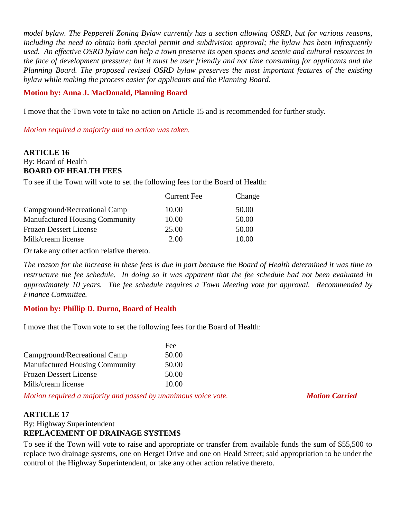*model bylaw. The Pepperell Zoning Bylaw currently has a section allowing OSRD, but for various reasons, including the need to obtain both special permit and subdivision approval; the bylaw has been infrequently used. An effective OSRD bylaw can help a town preserve its open spaces and scenic and cultural resources in the face of development pressure; but it must be user friendly and not time consuming for applicants and the Planning Board. The proposed revised OSRD bylaw preserves the most important features of the existing bylaw while making the process easier for applicants and the Planning Board.* 

#### **Motion by: Anna J. MacDonald, Planning Board**

I move that the Town vote to take no action on Article 15 and is recommended for further study.

*Motion required a majority and no action was taken.*

### **ARTICLE 16** By: Board of Health **BOARD OF HEALTH FEES**

To see if the Town will vote to set the following fees for the Board of Health:

|                                       | <b>Current Fee</b> | Change |
|---------------------------------------|--------------------|--------|
| Campground/Recreational Camp          | 10.00              | 50.00  |
| <b>Manufactured Housing Community</b> | 10.00              | 50.00  |
| <b>Frozen Dessert License</b>         | 25.00              | 50.00  |
| Milk/cream license                    | 2.00               | 10.00  |

Or take any other action relative thereto.

*The reason for the increase in these fees is due in part because the Board of Health determined it was time to restructure the fee schedule. In doing so it was apparent that the fee schedule had not been evaluated in approximately 10 years. The fee schedule requires a Town Meeting vote for approval. Recommended by Finance Committee.*

### **Motion by: Phillip D. Durno, Board of Health**

I move that the Town vote to set the following fees for the Board of Health:

|                                       | Fee   |
|---------------------------------------|-------|
| Campground/Recreational Camp          | 50.00 |
| <b>Manufactured Housing Community</b> | 50.00 |
| <b>Frozen Dessert License</b>         | 50.00 |
| Milk/cream license                    | 10.00 |

*Motion required a majority and passed by unanimous voice vote. Motion Carried* 

### **ARTICLE 17**

By: Highway Superintendent **REPLACEMENT OF DRAINAGE SYSTEMS**

To see if the Town will vote to raise and appropriate or transfer from available funds the sum of \$55,500 to replace two drainage systems, one on Herget Drive and one on Heald Street; said appropriation to be under the control of the Highway Superintendent, or take any other action relative thereto.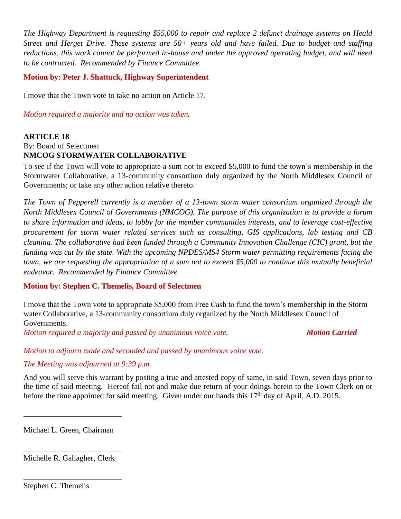*The Highway Department is requesting \$55,000 to repair and replace 2 defunct drainage systems on Heald Street and Herget Drive. These systems are 50+ years old and have failed. Due to budget and staffing reductions, this work cannot be performed in-house and under the approved operating budget, and will need to be contracted. Recommended by Finance Committee.*

#### **Motion by: Peter J. Shattuck, Highway Superintendent**

I move that the Town vote to take no action on Article 17.

*Motion required a majority and no action was taken.*

#### **ARTICLE 18** By: Board of Selectmen **NMCOG STORMWATER COLLABORATIVE**

To see if the Town will vote to appropriate a sum not to exceed \$5,000 to fund the town's membership in the Stormwater Collaborative, a 13-community consortium duly organized by the North Middlesex Council of Governments; or take any other action relative thereto.

*The Town of Pepperell currently is a member of a 13-town storm water consortium organized through the North Middlesex Council of Governments (NMCOG). The purpose of this organization is to provide a forum to share information and ideas, to lobby for the member communities interests, and to leverage cost-effective procurement for storm water related services such as consulting, GIS applications, lab testing and CB cleaning. The collaborative had been funded through a Community Innovation Challenge (CIC) grant, but the funding was cut by the state. With the upcoming NPDES/MS4 Storm water permitting requirements facing the town, we are requesting the appropriation of a sum not to exceed \$5,000 to continue this mutually beneficial endeavor. Recommended by Finance Committee.*

#### **Motion by: Stephen C. Themelis, Board of Selectmen**

I move that the Town vote to appropriate \$5,000 from Free Cash to fund the town's membership in the Storm water Collaborative, a 13-community consortium duly organized by the North Middlesex Council of Governments.

*Motion required a majority and passed by unanimous voice vote. Motion Carried* 

*Motion to adjourn made and seconded and passed by unanimous voice vote.*

### *The Meeting was adjourned at 9:39 p.m.*

And you will serve this warrant by posting a true and attested copy of same, in said Town, seven days prior to the time of said meeting. Hereof fail not and make due return of your doings herein to the Town Clerk on or before the time appointed for said meeting. Given under our hands this 17<sup>th</sup> day of April, A.D. 2015.

Michael L. Green, Chairman

\_\_\_\_\_\_\_\_\_\_\_\_\_\_\_\_\_\_\_\_\_\_\_\_\_

\_\_\_\_\_\_\_\_\_\_\_\_\_\_\_\_\_\_\_\_\_\_\_\_\_ Michelle R. Gallagher, Clerk

\_\_\_\_\_\_\_\_\_\_\_\_\_\_\_\_\_\_\_\_\_\_\_\_\_

Stephen C. Themelis